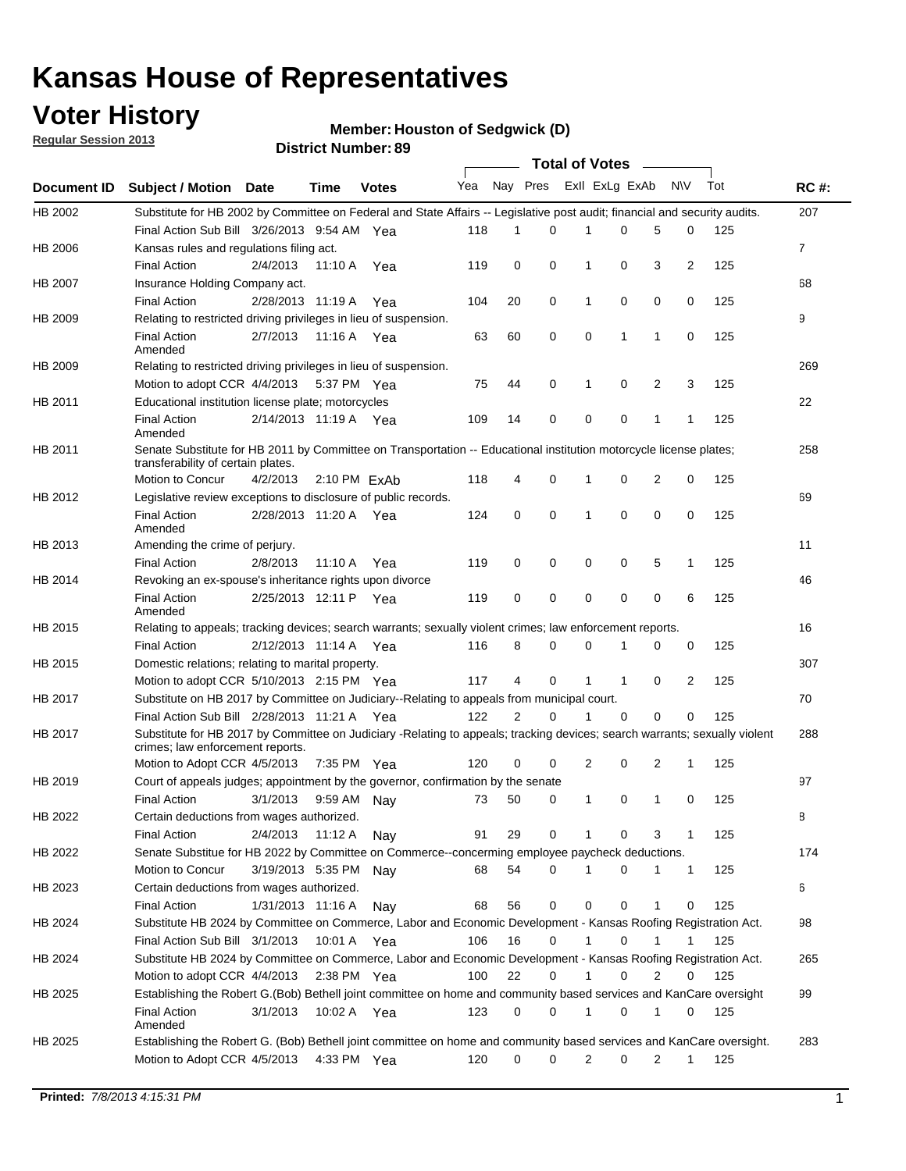## **Voter History**

**Member: Houston of Sedgwick (D)** 

**Regular Session 2013**

|                    |                                                                                                                                                          |                       | טט ו ושטווווטדו ועו ווסוע |              |              |                | Total of Votes – |                |              |   |              |     |              |
|--------------------|----------------------------------------------------------------------------------------------------------------------------------------------------------|-----------------------|---------------------------|--------------|--------------|----------------|------------------|----------------|--------------|---|--------------|-----|--------------|
| <b>Document ID</b> | <b>Subject / Motion Date</b>                                                                                                                             |                       | <b>Time</b>               | <b>Votes</b> | Yea Nay Pres |                |                  | Exll ExLg ExAb |              |   | <b>NV</b>    | Tot | <b>RC#:</b>  |
| HB 2002            | Substitute for HB 2002 by Committee on Federal and State Affairs -- Legislative post audit; financial and security audits.                               |                       |                           |              |              |                |                  |                |              |   |              |     | 207          |
|                    | Final Action Sub Bill 3/26/2013 9:54 AM Yea                                                                                                              |                       |                           |              | 118          | 1              | $\Omega$         |                | 0            | 5 | 0            | 125 |              |
| HB 2006            | Kansas rules and regulations filing act.                                                                                                                 |                       |                           |              |              |                |                  |                |              |   |              |     | $\mathbf{7}$ |
|                    | <b>Final Action</b>                                                                                                                                      | 2/4/2013              | 11:10 A                   | Yea          | 119          | 0              | 0                | 1              | 0            | 3 | 2            | 125 |              |
| HB 2007            | Insurance Holding Company act.                                                                                                                           |                       |                           |              |              |                |                  |                |              |   |              |     | 68           |
|                    | <b>Final Action</b>                                                                                                                                      | 2/28/2013 11:19 A     |                           | Yea          | 104          | 20             | 0                | 1              | 0            | 0 | 0            | 125 |              |
| HB 2009            | Relating to restricted driving privileges in lieu of suspension.                                                                                         |                       |                           |              |              |                |                  |                |              |   |              |     | 9            |
|                    | <b>Final Action</b><br>Amended                                                                                                                           | 2/7/2013              | 11:16 A Yea               |              | 63           | 60             | 0                | 0              | 1            | 1 | 0            | 125 |              |
| HB 2009            | Relating to restricted driving privileges in lieu of suspension.                                                                                         |                       |                           |              |              |                |                  |                |              |   |              |     | 269          |
|                    | Motion to adopt CCR 4/4/2013                                                                                                                             |                       | 5:37 PM Yea               |              | 75           | 44             | 0                | 1              | 0            | 2 | 3            | 125 |              |
| HB 2011            | Educational institution license plate; motorcycles                                                                                                       |                       |                           |              |              |                |                  |                |              |   |              |     | 22           |
|                    | <b>Final Action</b><br>Amended                                                                                                                           | 2/14/2013 11:19 A Yea |                           |              | 109          | 14             | 0                | 0              | 0            | 1 | 1            | 125 |              |
| HB 2011            | Senate Substitute for HB 2011 by Committee on Transportation -- Educational institution motorcycle license plates;<br>transferability of certain plates. |                       |                           |              |              |                |                  |                |              |   |              |     | 258          |
|                    | Motion to Concur                                                                                                                                         | 4/2/2013              | $2:10 \text{ PM}$ ExAb    |              | 118          | 4              | 0                | 1              | 0            | 2 | 0            | 125 |              |
| HB 2012            | Legislative review exceptions to disclosure of public records.                                                                                           |                       |                           |              |              |                |                  |                |              |   |              |     | 69           |
|                    | <b>Final Action</b><br>Amended                                                                                                                           | 2/28/2013 11:20 A Yea |                           |              | 124          | 0              | 0                | 1              | 0            | 0 | 0            | 125 |              |
| HB 2013            | Amending the crime of perjury.                                                                                                                           |                       |                           |              |              |                |                  |                |              |   |              |     | 11           |
|                    | <b>Final Action</b>                                                                                                                                      | 2/8/2013              | 11:10 A                   | Yea          | 119          | 0              | 0                | 0              | 0            | 5 | 1            | 125 |              |
| HB 2014            | Revoking an ex-spouse's inheritance rights upon divorce                                                                                                  |                       |                           |              |              |                |                  |                |              |   |              |     | 46           |
|                    | <b>Final Action</b><br>Amended                                                                                                                           | 2/25/2013 12:11 P Yea |                           |              | 119          | 0              | 0                | 0              | 0            | 0 | 6            | 125 |              |
| HB 2015            | Relating to appeals; tracking devices; search warrants; sexually violent crimes; law enforcement reports.                                                |                       |                           |              |              |                |                  |                |              |   |              |     | 16           |
|                    | <b>Final Action</b>                                                                                                                                      | 2/12/2013 11:14 A     |                           | Yea          | 116          | 8              | 0                | 0              | 1            | 0 | 0            | 125 |              |
| HB 2015            | Domestic relations; relating to marital property.                                                                                                        |                       |                           |              |              |                |                  |                |              |   |              |     | 307          |
|                    | Motion to adopt CCR 5/10/2013 2:15 PM Yea                                                                                                                |                       |                           |              | 117          | 4              | 0                | $\mathbf{1}$   | $\mathbf{1}$ | 0 | 2            | 125 |              |
| HB 2017            | Substitute on HB 2017 by Committee on Judiciary--Relating to appeals from municipal court.                                                               |                       |                           |              |              |                |                  |                |              |   |              |     | 70           |
|                    | Final Action Sub Bill 2/28/2013 11:21 A Yea                                                                                                              |                       |                           |              | 122          | $\overline{2}$ | 0                | 1              | 0            | 0 | 0            | 125 |              |
| HB 2017            | Substitute for HB 2017 by Committee on Judiciary -Relating to appeals; tracking devices; search warrants; sexually violent                               |                       |                           |              |              |                |                  |                |              |   |              |     | 288          |
|                    | crimes; law enforcement reports.                                                                                                                         |                       |                           |              |              |                |                  |                |              |   |              |     |              |
|                    | Motion to Adopt CCR 4/5/2013                                                                                                                             |                       | 7:35 PM Yea               |              | 120          | 0              | 0                | 2              | 0            | 2 | 1            | 125 |              |
| HB 2019            | Court of appeals judges; appointment by the governor, confirmation by the senate                                                                         |                       |                           |              |              |                |                  |                |              |   |              |     | 97           |
|                    | <b>Final Action</b>                                                                                                                                      | 3/1/2013              | 9:59 AM Nay               |              | 73           | 50             | 0                | 1              | 0            | 1 | 0            | 125 |              |
| HB 2022            | Certain deductions from wages authorized.                                                                                                                |                       |                           |              |              |                |                  |                |              |   |              |     | 8            |
|                    | <b>Final Action</b>                                                                                                                                      | 2/4/2013              | 11:12 A                   | Nay          | 91           | 29             | 0                |                | 0            | 3 | 1            | 125 |              |
| HB 2022            | Senate Substitue for HB 2022 by Committee on Commerce--concerming employee paycheck deductions.                                                          |                       |                           |              |              |                |                  |                |              |   |              |     | 174          |
|                    | Motion to Concur                                                                                                                                         | 3/19/2013 5:35 PM Nav |                           |              | 68           | 54             | 0                | 1              | 0            | 1 | $\mathbf{1}$ | 125 |              |
| HB 2023            | Certain deductions from wages authorized.                                                                                                                |                       |                           |              |              |                |                  |                |              |   |              |     | 6            |
|                    | <b>Final Action</b>                                                                                                                                      | 1/31/2013 11:16 A     |                           | Nav          | 68           | 56             | 0                | 0              | 0            | 1 | 0            | 125 |              |
| HB 2024            | Substitute HB 2024 by Committee on Commerce, Labor and Economic Development - Kansas Roofing Registration Act.                                           |                       |                           |              |              |                |                  |                |              |   |              |     | 98           |
|                    | Final Action Sub Bill 3/1/2013                                                                                                                           |                       | 10:01 A                   | Yea          | 106          | 16             | 0                | $\mathbf{1}$   | 0            | 1 | 1            | 125 |              |
| HB 2024            | Substitute HB 2024 by Committee on Commerce, Labor and Economic Development - Kansas Roofing Registration Act.                                           |                       |                           |              |              |                |                  |                |              |   |              |     | 265          |
|                    | Motion to adopt CCR 4/4/2013                                                                                                                             |                       | 2:38 PM $Yea$             |              | 100          | 22             | 0                | $\mathbf{1}$   | 0            | 2 | 0            | 125 |              |
| HB 2025            | Establishing the Robert G.(Bob) Bethell joint committee on home and community based services and KanCare oversight                                       |                       |                           |              |              |                |                  |                |              |   |              |     | 99           |
|                    | <b>Final Action</b><br>Amended                                                                                                                           | 3/1/2013              | 10:02 A Yea               |              | 123          | 0              | 0                | 1              | 0            | 1 | 0            | 125 |              |
| HB 2025            | Establishing the Robert G. (Bob) Bethell joint committee on home and community based services and KanCare oversight.                                     |                       |                           |              |              |                |                  |                |              |   |              |     | 283          |
|                    | Motion to Adopt CCR 4/5/2013                                                                                                                             |                       | 4:33 PM Yea               |              | 120          | 0              | 0                | 2              | 0            | 2 | $\mathbf{1}$ | 125 |              |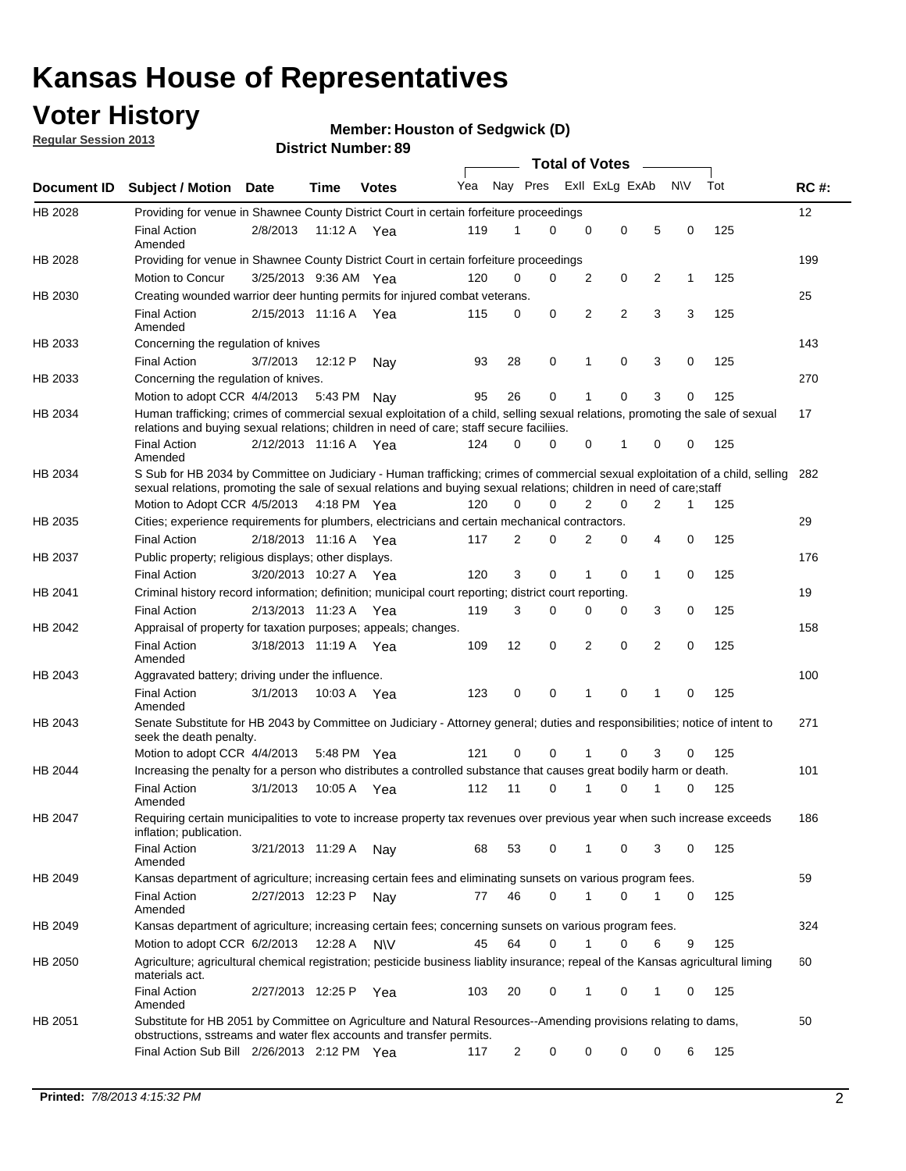## **Voter History**

**Member: Houston of Sedgwick (D)** 

**Regular Session 2013**

|             |                                                                                                                                                                                                                                                       |                       |         |              |     |                | <b>Total of Votes</b> |   |                |                |           |     |             |
|-------------|-------------------------------------------------------------------------------------------------------------------------------------------------------------------------------------------------------------------------------------------------------|-----------------------|---------|--------------|-----|----------------|-----------------------|---|----------------|----------------|-----------|-----|-------------|
| Document ID | <b>Subject / Motion Date</b>                                                                                                                                                                                                                          |                       | Time    | <b>Votes</b> | Yea | Nay Pres       |                       |   | Exll ExLg ExAb |                | <b>NV</b> | Tot | <b>RC#:</b> |
| HB 2028     | Providing for venue in Shawnee County District Court in certain forfeiture proceedings                                                                                                                                                                |                       |         |              |     |                |                       |   |                |                |           |     | 12          |
|             | <b>Final Action</b><br>Amended                                                                                                                                                                                                                        | 2/8/2013              |         | 11:12 A Yea  | 119 | 1              | $\Omega$              | 0 | 0              | 5              | 0         | 125 |             |
| HB 2028     | Providing for venue in Shawnee County District Court in certain forfeiture proceedings                                                                                                                                                                |                       |         |              |     |                |                       |   |                |                |           |     | 199         |
|             | Motion to Concur                                                                                                                                                                                                                                      | 3/25/2013 9:36 AM Yea |         |              | 120 | 0              | 0                     | 2 | 0              | 2              | 1         | 125 |             |
| HB 2030     | Creating wounded warrior deer hunting permits for injured combat veterans.                                                                                                                                                                            |                       |         |              |     |                |                       |   |                |                |           |     | 25          |
|             | <b>Final Action</b><br>Amended                                                                                                                                                                                                                        | 2/15/2013 11:16 A     |         | Yea          | 115 | 0              | 0                     | 2 | $\overline{2}$ | 3              | 3         | 125 |             |
| HB 2033     | Concerning the regulation of knives                                                                                                                                                                                                                   |                       |         |              |     |                |                       |   |                |                |           |     | 143         |
|             | <b>Final Action</b>                                                                                                                                                                                                                                   | 3/7/2013              | 12:12 P | Nav          | 93  | 28             | 0                     | 1 | 0              | 3              | 0         | 125 |             |
| HB 2033     | Concerning the regulation of knives.                                                                                                                                                                                                                  |                       |         |              |     |                |                       |   |                |                |           |     | 270         |
|             | Motion to adopt CCR 4/4/2013                                                                                                                                                                                                                          |                       | 5:43 PM | Nav          | 95  | 26             | 0                     |   | 0              | 3              | 0         | 125 |             |
| HB 2034     | Human trafficking; crimes of commercial sexual exploitation of a child, selling sexual relations, promoting the sale of sexual<br>relations and buying sexual relations; children in need of care; staff secure faciliies.                            |                       |         |              |     |                |                       |   |                |                |           |     | 17          |
|             | <b>Final Action</b><br>Amended                                                                                                                                                                                                                        | 2/12/2013 11:16 A Yea |         |              | 124 | $\Omega$       | 0                     | 0 | 1              | 0              | 0         | 125 |             |
| HB 2034     | S Sub for HB 2034 by Committee on Judiciary - Human trafficking; crimes of commercial sexual exploitation of a child, selling<br>sexual relations, promoting the sale of sexual relations and buying sexual relations; children in need of care;staff |                       |         |              |     |                |                       |   |                |                |           |     | 282         |
|             | Motion to Adopt CCR 4/5/2013 4:18 PM Yea                                                                                                                                                                                                              |                       |         |              | 120 | 0              | 0                     | 2 | 0              | $\overline{2}$ | 1         | 125 |             |
| HB 2035     | Cities; experience requirements for plumbers, electricians and certain mechanical contractors.                                                                                                                                                        |                       |         |              |     |                |                       |   |                |                |           |     | 29          |
|             | <b>Final Action</b>                                                                                                                                                                                                                                   | 2/18/2013 11:16 A     |         | Yea          | 117 | 2              | 0                     | 2 | 0              | 4              | 0         | 125 |             |
| HB 2037     | Public property; religious displays; other displays.                                                                                                                                                                                                  |                       |         |              |     |                |                       |   |                |                |           |     | 176         |
|             | <b>Final Action</b>                                                                                                                                                                                                                                   | 3/20/2013 10:27 A     |         | Yea          | 120 | 3              | 0                     | 1 | 0              | 1              | 0         | 125 |             |
| HB 2041     | Criminal history record information; definition; municipal court reporting; district court reporting.                                                                                                                                                 |                       |         |              |     |                |                       |   |                |                |           |     | 19          |
|             | <b>Final Action</b>                                                                                                                                                                                                                                   | 2/13/2013 11:23 A     |         | Yea          | 119 | 3              | 0                     | 0 | 0              | 3              | 0         | 125 |             |
| HB 2042     | Appraisal of property for taxation purposes; appeals; changes.                                                                                                                                                                                        |                       |         |              |     |                |                       |   |                |                |           |     | 158         |
|             | <b>Final Action</b><br>Amended                                                                                                                                                                                                                        | 3/18/2013 11:19 A     |         | Yea          | 109 | 12             | 0                     | 2 | 0              | 2              | 0         | 125 |             |
| HB 2043     | Aggravated battery; driving under the influence.                                                                                                                                                                                                      |                       |         |              |     |                |                       |   |                |                |           |     | 100         |
|             | <b>Final Action</b><br>Amended                                                                                                                                                                                                                        | 3/1/2013              |         | 10:03 A Yea  | 123 | 0              | 0                     |   | 0              | 1              | 0         | 125 |             |
| HB 2043     | Senate Substitute for HB 2043 by Committee on Judiciary - Attorney general; duties and responsibilities; notice of intent to<br>seek the death penalty.                                                                                               |                       |         |              |     |                |                       |   |                |                |           |     | 271         |
|             | Motion to adopt CCR 4/4/2013                                                                                                                                                                                                                          |                       |         | 5:48 PM Yea  | 121 | 0              | 0                     |   | 0              | 3              | 0         | 125 |             |
| HB 2044     | Increasing the penalty for a person who distributes a controlled substance that causes great bodily harm or death.                                                                                                                                    |                       |         |              |     |                |                       |   |                |                |           |     | 101         |
|             | <b>Final Action</b><br>Amended                                                                                                                                                                                                                        | 3/1/2013              | 10:05 A | Yea          | 112 | 11             | 0                     |   | 0              |                | 0         | 125 |             |
| HB 2047     | Requiring certain municipalities to vote to increase property tax revenues over previous year when such increase exceeds<br>inflation; publication.                                                                                                   |                       |         |              |     |                |                       |   |                |                |           |     | 186         |
|             | <b>Final Action</b><br>Amended                                                                                                                                                                                                                        | 3/21/2013 11:29 A     |         | Nay          | 68  | 53             | 0                     |   | 0              | 3              | 0         | 125 |             |
| HB 2049     | Kansas department of agriculture; increasing certain fees and eliminating sunsets on various program fees.                                                                                                                                            |                       |         |              |     |                |                       |   |                |                |           |     | 59          |
|             | <b>Final Action</b><br>Amended                                                                                                                                                                                                                        | 2/27/2013 12:23 P     |         | Nav          | 77  | 46             | 0                     | 1 | 0              | 1              | 0         | 125 |             |
| HB 2049     | Kansas department of agriculture; increasing certain fees; concerning sunsets on various program fees.                                                                                                                                                |                       |         |              |     |                |                       |   |                |                |           |     | 324         |
|             | Motion to adopt CCR 6/2/2013                                                                                                                                                                                                                          |                       | 12:28 A | <b>NV</b>    | 45  | 64             | 0                     |   | 0              | 6              | 9         | 125 |             |
| HB 2050     | Agriculture; agricultural chemical registration; pesticide business liablity insurance; repeal of the Kansas agricultural liming<br>materials act.                                                                                                    |                       |         |              |     |                |                       |   |                |                |           |     | 60          |
|             | <b>Final Action</b><br>Amended                                                                                                                                                                                                                        | 2/27/2013 12:25 P     |         | Yea          | 103 | 20             | 0                     | 1 | 0              | 1              | 0         | 125 |             |
| HB 2051     | Substitute for HB 2051 by Committee on Agriculture and Natural Resources--Amending provisions relating to dams,<br>obstructions, sstreams and water flex accounts and transfer permits.                                                               |                       |         |              |     |                |                       |   |                |                |           |     | 50          |
|             | Final Action Sub Bill 2/26/2013 2:12 PM Yea                                                                                                                                                                                                           |                       |         |              | 117 | $\overline{c}$ | 0                     | 0 | 0              | 0              | 6         | 125 |             |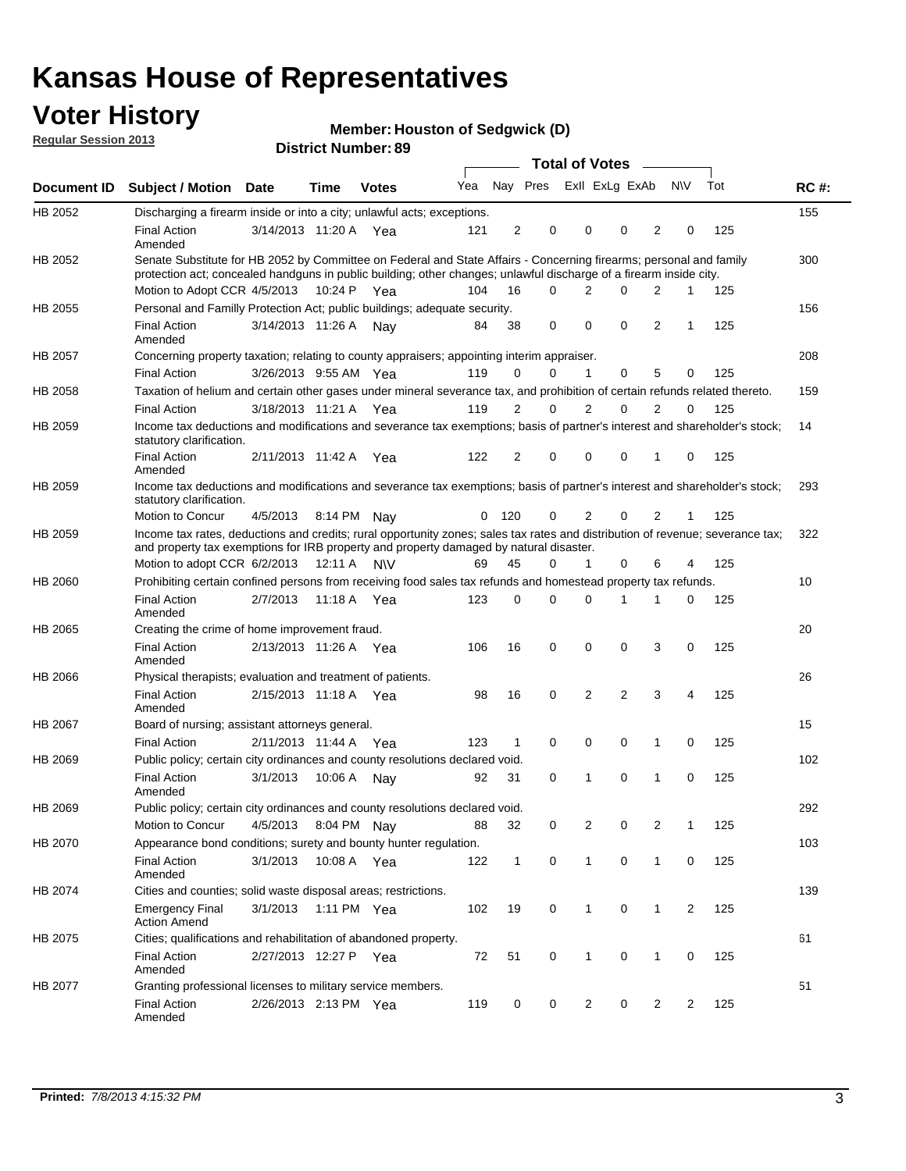## **Voter History**

**Member: Houston of Sedgwick (D)** 

**Regular Session 2013**

|             |                                                                                                                                                                                                                                          |                       |         | DISTILITY MUTHEL 09 |     |                |                         | Total of Votes – |                |          |                |              |     |             |
|-------------|------------------------------------------------------------------------------------------------------------------------------------------------------------------------------------------------------------------------------------------|-----------------------|---------|---------------------|-----|----------------|-------------------------|------------------|----------------|----------|----------------|--------------|-----|-------------|
| Document ID | <b>Subject / Motion</b>                                                                                                                                                                                                                  | <b>Date</b>           | Time    | <b>Votes</b>        | Yea |                | Nay Pres Exll ExLg ExAb |                  |                |          |                | <b>NV</b>    | Tot | <b>RC#:</b> |
| HB 2052     | Discharging a firearm inside or into a city; unlawful acts; exceptions.                                                                                                                                                                  |                       |         |                     |     |                |                         |                  |                |          |                |              |     | 155         |
|             | <b>Final Action</b><br>Amended                                                                                                                                                                                                           | 3/14/2013 11:20 A Yea |         |                     | 121 | 2              | 0                       |                  | 0              | 0        | $\overline{2}$ | 0            | 125 |             |
| HB 2052     | Senate Substitute for HB 2052 by Committee on Federal and State Affairs - Concerning firearms; personal and family<br>protection act; concealed handguns in public building; other changes; unlawful discharge of a firearm inside city. |                       |         |                     |     |                |                         |                  |                |          |                |              |     | 300         |
|             | Motion to Adopt CCR 4/5/2013 10:24 P Yea                                                                                                                                                                                                 |                       |         |                     | 104 | 16             | 0                       |                  | 2              | 0        | 2              | 1            | 125 |             |
| HB 2055     | Personal and Familly Protection Act; public buildings; adequate security.                                                                                                                                                                |                       |         |                     |     |                |                         |                  |                |          |                |              |     | 156         |
|             | <b>Final Action</b><br>Amended                                                                                                                                                                                                           | 3/14/2013 11:26 A     |         | Nav                 | 84  | 38             | 0                       |                  | 0              | 0        | $\overline{2}$ | 1            | 125 |             |
| HB 2057     | Concerning property taxation; relating to county appraisers; appointing interim appraiser.                                                                                                                                               |                       |         |                     |     |                |                         |                  |                |          |                |              |     | 208         |
|             | <b>Final Action</b>                                                                                                                                                                                                                      | 3/26/2013 9:55 AM Yea |         |                     | 119 | 0              | 0                       |                  | 1              | 0        | 5              | 0            | 125 |             |
| HB 2058     | Taxation of helium and certain other gases under mineral severance tax, and prohibition of certain refunds related thereto.                                                                                                              |                       |         |                     |     |                |                         |                  |                |          |                |              |     | 159         |
|             | <b>Final Action</b>                                                                                                                                                                                                                      | 3/18/2013 11:21 A Yea |         |                     | 119 | 2              | 0                       |                  | 2              | 0        | 2              | 0            | 125 |             |
| HB 2059     | Income tax deductions and modifications and severance tax exemptions; basis of partner's interest and shareholder's stock;<br>statutory clarification.                                                                                   |                       |         |                     |     |                |                         |                  |                |          |                |              |     | 14          |
|             | <b>Final Action</b><br>Amended                                                                                                                                                                                                           | 2/11/2013 11:42 A     |         | Yea                 | 122 | $\overline{2}$ | 0                       |                  | 0              | 0        | 1              | 0            | 125 |             |
| HB 2059     | Income tax deductions and modifications and severance tax exemptions; basis of partner's interest and shareholder's stock;<br>statutory clarification.                                                                                   |                       |         |                     |     |                |                         |                  |                |          |                |              |     | 293         |
|             | Motion to Concur                                                                                                                                                                                                                         | 4/5/2013              |         | 8:14 PM Nav         | 0   | 120            | 0                       |                  | $\overline{2}$ | 0        | $\overline{2}$ | $\mathbf{1}$ | 125 |             |
| HB 2059     | Income tax rates, deductions and credits; rural opportunity zones; sales tax rates and distribution of revenue; severance tax;<br>and property tax exemptions for IRB property and property damaged by natural disaster.                 |                       |         |                     |     |                |                         |                  |                |          |                |              |     | 322         |
|             | Motion to adopt CCR 6/2/2013                                                                                                                                                                                                             |                       | 12:11 A | N\V                 | 69  | 45             | 0                       |                  | $\mathbf{1}$   | 0        | 6              | 4            | 125 |             |
| HB 2060     | Prohibiting certain confined persons from receiving food sales tax refunds and homestead property tax refunds.                                                                                                                           |                       |         |                     |     |                |                         |                  |                |          |                |              |     | 10          |
|             | <b>Final Action</b><br>Amended                                                                                                                                                                                                           | 2/7/2013              | 11:18 A | Yea                 | 123 | 0              | 0                       |                  | 0              | 1        | 1              | 0            | 125 |             |
| HB 2065     | Creating the crime of home improvement fraud.                                                                                                                                                                                            |                       |         |                     |     |                |                         |                  |                |          |                |              |     | 20          |
|             | <b>Final Action</b><br>Amended                                                                                                                                                                                                           | 2/13/2013 11:26 A Yea |         |                     | 106 | 16             | 0                       |                  | 0              | 0        | 3              | 0            | 125 |             |
| HB 2066     | Physical therapists; evaluation and treatment of patients.                                                                                                                                                                               |                       |         |                     |     |                |                         |                  |                |          |                |              |     | 26          |
|             | <b>Final Action</b><br>Amended                                                                                                                                                                                                           | 2/15/2013 11:18 A Yea |         |                     | 98  | 16             | 0                       |                  | 2              | 2        | 3              | 4            | 125 |             |
| HB 2067     | Board of nursing; assistant attorneys general.                                                                                                                                                                                           |                       |         |                     |     |                |                         |                  |                |          |                |              |     | 15          |
|             | <b>Final Action</b>                                                                                                                                                                                                                      | 2/11/2013 11:44 A Yea |         |                     | 123 | $\mathbf{1}$   | 0                       |                  | 0              | 0        | 1              | 0            | 125 |             |
| HB 2069     | Public policy; certain city ordinances and county resolutions declared void.                                                                                                                                                             |                       |         |                     |     |                |                         |                  |                |          |                |              |     | 102         |
|             | <b>Final Action</b><br>Amended                                                                                                                                                                                                           | 3/1/2013              | 10:06 A | Nav                 | 92  | 31             | 0                       |                  | 1              | $\Omega$ | 1              | 0            | 125 |             |
| HB 2069     | Public policy; certain city ordinances and county resolutions declared void.                                                                                                                                                             |                       |         |                     |     |                |                         |                  |                |          |                |              |     | 292         |
|             | Motion to Concur                                                                                                                                                                                                                         | 4/5/2013              |         | 8:04 PM Nay         | 88  | 32             | 0                       |                  | 2              | 0        | 2              | 1            | 125 |             |
| HB 2070     | Appearance bond conditions; surety and bounty hunter regulation.                                                                                                                                                                         |                       |         |                     |     |                |                         |                  |                |          |                |              |     | 103         |
|             | <b>Final Action</b><br>Amended                                                                                                                                                                                                           | 3/1/2013              |         | 10:08 A Yea         | 122 | $\mathbf{1}$   | 0                       |                  | $\mathbf{1}$   | 0        | $\mathbf{1}$   | 0            | 125 |             |
| HB 2074     | Cities and counties; solid waste disposal areas; restrictions.                                                                                                                                                                           |                       |         |                     |     |                |                         |                  |                |          |                |              |     | 139         |
|             | <b>Emergency Final</b><br><b>Action Amend</b>                                                                                                                                                                                            | 3/1/2013              |         | 1:11 PM Yea         | 102 | 19             | 0                       |                  | 1              | 0        | 1              | 2            | 125 |             |
| HB 2075     | Cities; qualifications and rehabilitation of abandoned property.                                                                                                                                                                         |                       |         |                     |     |                |                         |                  |                |          |                |              |     | 61          |
|             | <b>Final Action</b><br>Amended                                                                                                                                                                                                           | 2/27/2013 12:27 P Yea |         |                     | 72  | 51             | 0                       |                  | 1              | 0        | 1              | 0            | 125 |             |
| HB 2077     | Granting professional licenses to military service members.<br><b>Final Action</b><br>Amended                                                                                                                                            | 2/26/2013 2:13 PM Yea |         |                     | 119 | 0              | 0                       |                  | 2              | 0        | 2              | 2            | 125 | 51          |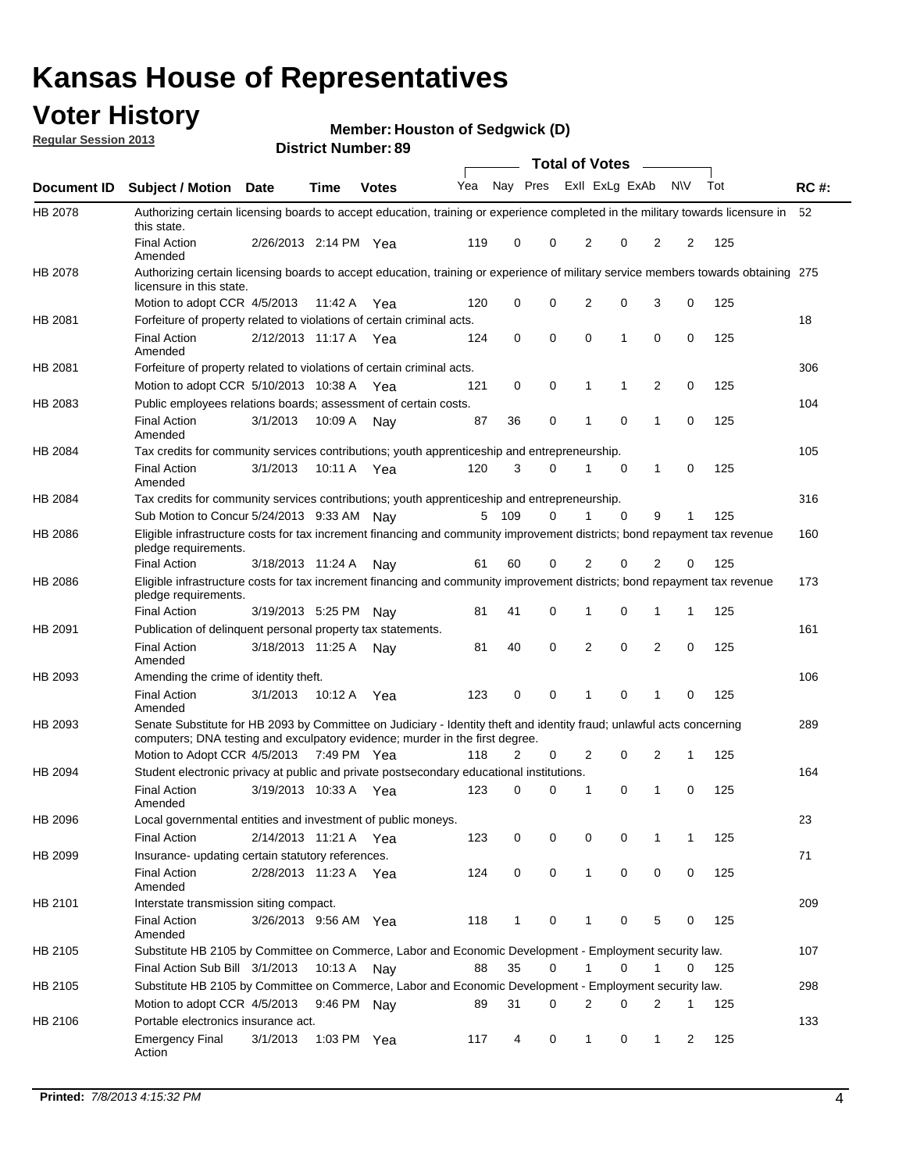## **Voter History**

**Member: Houston of Sedgwick (D)** 

**Regular Session 2013**

|             |                                                                                                                                                                                                       |                       |             | טט הסעוווטנו ועוווסו |     |              |             | <b>Total of Votes</b> |          | $\sim$         |           |     |             |
|-------------|-------------------------------------------------------------------------------------------------------------------------------------------------------------------------------------------------------|-----------------------|-------------|----------------------|-----|--------------|-------------|-----------------------|----------|----------------|-----------|-----|-------------|
| Document ID | <b>Subject / Motion Date</b>                                                                                                                                                                          |                       | <b>Time</b> | <b>Votes</b>         | Yea | Nay Pres     |             | Exll ExLg ExAb        |          |                | <b>NV</b> | Tot | <b>RC#:</b> |
| HB 2078     | Authorizing certain licensing boards to accept education, training or experience completed in the military towards licensure in<br>this state.                                                        |                       |             |                      |     |              |             |                       |          |                |           |     | 52          |
|             | <b>Final Action</b><br>Amended                                                                                                                                                                        | 2/26/2013 2:14 PM Yea |             |                      | 119 | 0            | 0           | 2                     | 0        | 2              | 2         | 125 |             |
| HB 2078     | Authorizing certain licensing boards to accept education, training or experience of military service members towards obtaining 275<br>licensure in this state.                                        |                       |             |                      |     |              |             |                       |          |                |           |     |             |
|             | Motion to adopt CCR 4/5/2013                                                                                                                                                                          |                       | 11:42 A     | Yea                  | 120 | 0            | $\mathbf 0$ | $\overline{2}$        | 0        | 3              | 0         | 125 |             |
| HB 2081     | Forfeiture of property related to violations of certain criminal acts.                                                                                                                                |                       |             |                      |     |              |             |                       |          |                |           |     | 18          |
|             | <b>Final Action</b><br>Amended                                                                                                                                                                        | 2/12/2013 11:17 A Yea |             |                      | 124 | 0            | 0           | $\Omega$              | 1        | 0              | 0         | 125 |             |
| HB 2081     | Forfeiture of property related to violations of certain criminal acts.                                                                                                                                |                       |             |                      |     |              |             |                       |          |                |           |     | 306         |
|             | Motion to adopt CCR 5/10/2013 10:38 A                                                                                                                                                                 |                       |             | Yea                  | 121 | 0            | 0           | 1                     | 1        | 2              | 0         | 125 |             |
| HB 2083     | Public employees relations boards; assessment of certain costs.                                                                                                                                       |                       |             |                      |     |              |             |                       |          |                |           |     | 104         |
|             | <b>Final Action</b><br>Amended                                                                                                                                                                        | 3/1/2013              | 10:09 A     | Nay                  | 87  | 36           | 0           | 1                     | 0        | 1              | 0         | 125 |             |
| HB 2084     | Tax credits for community services contributions; youth apprenticeship and entrepreneurship.                                                                                                          |                       |             |                      |     |              |             |                       |          |                |           |     | 105         |
|             | <b>Final Action</b><br>Amended                                                                                                                                                                        | 3/1/2013              | 10:11 A     | Yea                  | 120 | 3            | $\Omega$    |                       | 0        | $\mathbf{1}$   | 0         | 125 |             |
| HB 2084     | Tax credits for community services contributions; youth apprenticeship and entrepreneurship.                                                                                                          |                       |             |                      |     |              |             |                       |          |                |           |     | 316         |
|             | Sub Motion to Concur 5/24/2013 9:33 AM Nav                                                                                                                                                            |                       |             |                      | 5   | - 109        | $\Omega$    | 1                     | $\Omega$ | 9              | 1         | 125 |             |
| HB 2086     | Eligible infrastructure costs for tax increment financing and community improvement districts; bond repayment tax revenue<br>pledge requirements.                                                     |                       |             |                      |     |              |             |                       |          |                |           |     | 160         |
|             | <b>Final Action</b>                                                                                                                                                                                   | 3/18/2013 11:24 A     |             | Nay                  | 61  | 60           | 0           | 2                     | 0        | 2              | 0         | 125 |             |
| HB 2086     | Eligible infrastructure costs for tax increment financing and community improvement districts; bond repayment tax revenue<br>pledge requirements.                                                     |                       |             |                      |     |              |             |                       |          |                |           |     | 173         |
|             | <b>Final Action</b>                                                                                                                                                                                   | 3/19/2013 5:25 PM     |             | Nay                  | 81  | 41           | 0           | 1                     | 0        | 1              | 1         | 125 |             |
| HB 2091     | Publication of delinquent personal property tax statements.                                                                                                                                           |                       |             |                      |     |              |             |                       |          |                |           |     | 161         |
|             | <b>Final Action</b><br>Amended                                                                                                                                                                        | 3/18/2013 11:25 A     |             | Nav                  | 81  | 40           | 0           | 2                     | 0        | $\overline{2}$ | 0         | 125 |             |
| HB 2093     | Amending the crime of identity theft.                                                                                                                                                                 |                       |             |                      |     |              |             |                       |          |                |           |     | 106         |
|             | <b>Final Action</b><br>Amended                                                                                                                                                                        | 3/1/2013              | 10:12 A     | Yea                  | 123 | 0            | $\Omega$    | 1                     | 0        | 1              | 0         | 125 |             |
| HB 2093     | Senate Substitute for HB 2093 by Committee on Judiciary - Identity theft and identity fraud; unlawful acts concerning<br>computers; DNA testing and exculpatory evidence; murder in the first degree. |                       |             |                      |     |              |             |                       |          |                |           |     | 289         |
|             | Motion to Adopt CCR 4/5/2013 7:49 PM Yea                                                                                                                                                              |                       |             |                      | 118 | 2            | 0           | 2                     | 0        | 2              | 1         | 125 |             |
| HB 2094     | Student electronic privacy at public and private postsecondary educational institutions.                                                                                                              |                       |             |                      |     |              |             |                       |          |                |           |     | 164         |
|             | <b>Final Action</b><br>Amended                                                                                                                                                                        | 3/19/2013 10:33 A     |             | Yea                  | 123 | 0            | 0           | 1                     | 0        | 1              | 0         | 125 |             |
| HB 2096     | Local governmental entities and investment of public moneys.                                                                                                                                          |                       |             |                      |     |              |             |                       |          |                |           |     | 23          |
|             | <b>Final Action</b>                                                                                                                                                                                   | 2/14/2013 11:21 A     |             | Yea                  | 123 | 0            | 0           | 0                     | 0        | 1              | 1         | 125 |             |
| HB 2099     | Insurance- updating certain statutory references.                                                                                                                                                     |                       |             |                      |     |              |             |                       |          |                |           |     | 71          |
|             | <b>Final Action</b><br>Amended                                                                                                                                                                        | 2/28/2013 11:23 A     |             | Yea                  | 124 | 0            | 0           | 1                     | 0        | 0              | 0         | 125 |             |
| HB 2101     | Interstate transmission siting compact.                                                                                                                                                               |                       |             |                      |     |              |             |                       |          |                |           |     | 209         |
|             | Final Action<br>Amended                                                                                                                                                                               | 3/26/2013 9:56 AM Yea |             |                      | 118 | $\mathbf{1}$ | 0           | 1                     | 0        | 5              | 0         | 125 |             |
| HB 2105     | Substitute HB 2105 by Committee on Commerce, Labor and Economic Development - Employment security law.                                                                                                |                       |             |                      |     |              |             |                       |          |                |           |     | 107         |
|             | Final Action Sub Bill 3/1/2013                                                                                                                                                                        |                       | 10:13 A Nay |                      | 88  | 35           | 0           |                       | 0        | 1              | 0         | 125 |             |
| HB 2105     | Substitute HB 2105 by Committee on Commerce, Labor and Economic Development - Employment security law.                                                                                                |                       |             |                      |     |              |             |                       |          |                |           |     | 298         |
|             | Motion to adopt CCR 4/5/2013                                                                                                                                                                          |                       | 9:46 PM Nay |                      | 89  | 31           | 0           | 2                     | 0        | 2              | 1         | 125 |             |
| HB 2106     | Portable electronics insurance act.                                                                                                                                                                   |                       |             |                      |     |              |             |                       |          |                |           |     | 133         |
|             | <b>Emergency Final</b><br>Action                                                                                                                                                                      | 3/1/2013              | 1:03 PM Yea |                      | 117 | 4            | 0           | $\mathbf{1}$          | 0        | $\mathbf{1}$   | 2         | 125 |             |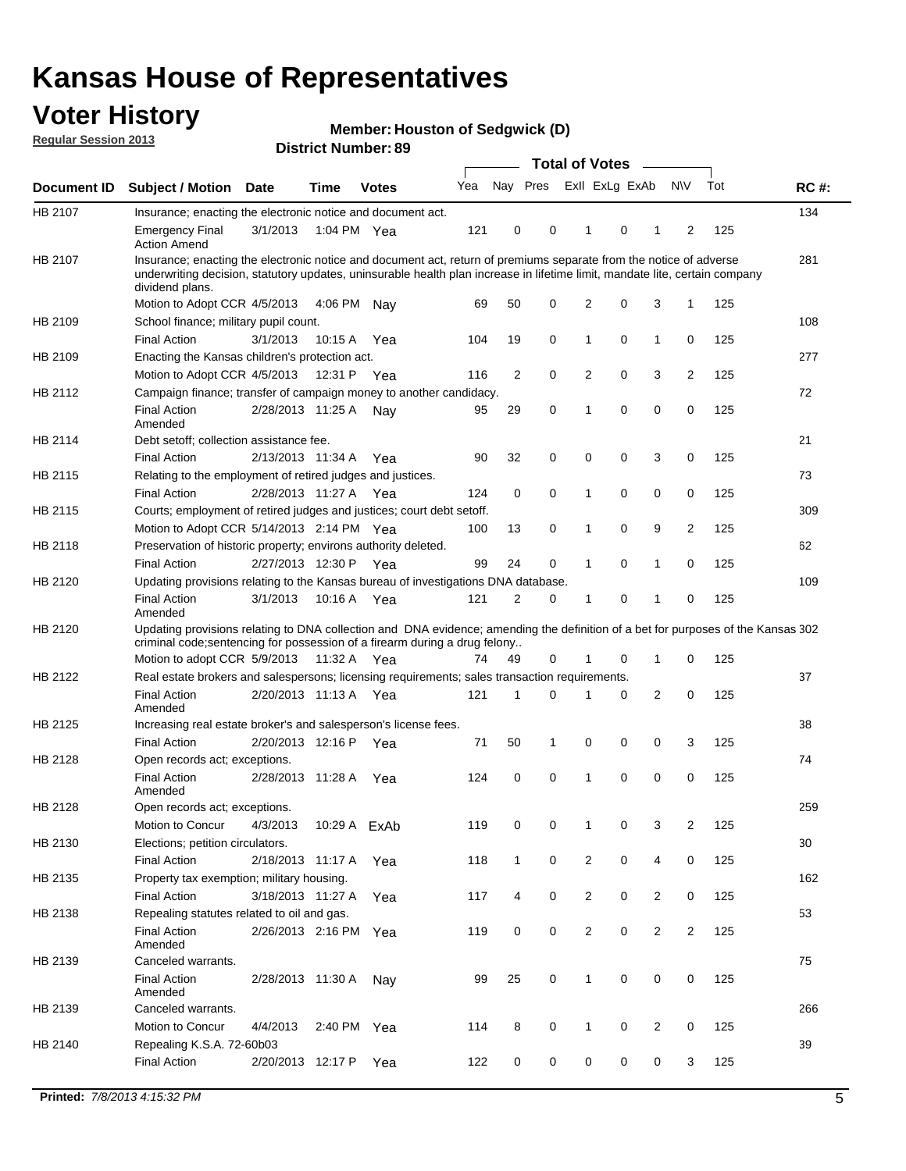## **Voter History**

**Member: Houston of Sedgwick (D)** 

**Regular Session 2013**

|             |                                                                                                                                                                                                                                                                      |                       |             |              |     |                         | <b>Total of Votes</b> |                |   | $\overline{\phantom{a}}$ |                |     |             |
|-------------|----------------------------------------------------------------------------------------------------------------------------------------------------------------------------------------------------------------------------------------------------------------------|-----------------------|-------------|--------------|-----|-------------------------|-----------------------|----------------|---|--------------------------|----------------|-----|-------------|
| Document ID | <b>Subject / Motion</b>                                                                                                                                                                                                                                              | <b>Date</b>           | <b>Time</b> | <b>Votes</b> | Yea | Nay Pres Exll ExLg ExAb |                       |                |   |                          | <b>NV</b>      | Tot | <b>RC#:</b> |
| HB 2107     | Insurance; enacting the electronic notice and document act.                                                                                                                                                                                                          |                       |             |              |     |                         |                       |                |   |                          |                |     | 134         |
|             | <b>Emergency Final</b><br><b>Action Amend</b>                                                                                                                                                                                                                        | 3/1/2013              | 1:04 PM Yea |              | 121 | 0                       | 0                     | 1              | 0 | 1                        | 2              | 125 |             |
| HB 2107     | Insurance; enacting the electronic notice and document act, return of premiums separate from the notice of adverse<br>underwriting decision, statutory updates, uninsurable health plan increase in lifetime limit, mandate lite, certain company<br>dividend plans. |                       |             |              |     |                         |                       |                |   |                          |                |     | 281         |
|             | Motion to Adopt CCR 4/5/2013                                                                                                                                                                                                                                         |                       | 4:06 PM     | Nav          | 69  | 50                      | 0                     | 2              | 0 | 3                        | 1              | 125 |             |
| HB 2109     | School finance; military pupil count.                                                                                                                                                                                                                                |                       |             |              |     |                         |                       |                |   |                          |                |     | 108         |
|             | <b>Final Action</b>                                                                                                                                                                                                                                                  | 3/1/2013              | 10:15 A     | Yea          | 104 | 19                      | 0                     | 1              | 0 | $\mathbf{1}$             | 0              | 125 |             |
| HB 2109     | Enacting the Kansas children's protection act.                                                                                                                                                                                                                       |                       |             |              |     |                         |                       |                |   |                          |                |     | 277         |
|             | Motion to Adopt CCR 4/5/2013                                                                                                                                                                                                                                         |                       | 12:31 P Yea |              | 116 | 2                       | 0                     | 2              | 0 | 3                        | 2              | 125 |             |
| HB 2112     | Campaign finance; transfer of campaign money to another candidacy.                                                                                                                                                                                                   |                       |             |              |     |                         |                       |                |   |                          |                |     | 72          |
|             | <b>Final Action</b><br>Amended                                                                                                                                                                                                                                       | 2/28/2013 11:25 A     |             | Nav          | 95  | 29                      | 0                     | 1              | 0 | 0                        | 0              | 125 |             |
| HB 2114     | Debt setoff; collection assistance fee.                                                                                                                                                                                                                              |                       |             |              |     |                         |                       |                |   |                          |                |     | 21          |
|             | <b>Final Action</b>                                                                                                                                                                                                                                                  | 2/13/2013 11:34 A     |             | Yea          | 90  | 32                      | 0                     | 0              | 0 | 3                        | 0              | 125 |             |
| HB 2115     | Relating to the employment of retired judges and justices.                                                                                                                                                                                                           |                       |             |              |     |                         |                       |                |   |                          |                |     | 73          |
|             | <b>Final Action</b>                                                                                                                                                                                                                                                  | 2/28/2013 11:27 A     |             | Yea          | 124 | 0                       | 0                     | 1              | 0 | 0                        | 0              | 125 |             |
| HB 2115     | Courts; employment of retired judges and justices; court debt setoff.                                                                                                                                                                                                |                       |             |              |     |                         |                       |                |   |                          |                |     | 309         |
|             | Motion to Adopt CCR 5/14/2013 2:14 PM Yea                                                                                                                                                                                                                            |                       |             |              | 100 | 13                      | 0                     | 1              | 0 | 9                        | $\overline{2}$ | 125 |             |
| HB 2118     | Preservation of historic property; environs authority deleted.                                                                                                                                                                                                       |                       |             |              |     |                         |                       |                |   |                          |                |     | 62          |
|             | <b>Final Action</b>                                                                                                                                                                                                                                                  | 2/27/2013 12:30 P     |             | Yea          | 99  | 24                      | 0                     | 1              | 0 | 1                        | 0              | 125 |             |
| HB 2120     | Updating provisions relating to the Kansas bureau of investigations DNA database.                                                                                                                                                                                    |                       |             |              |     |                         |                       |                |   |                          |                |     | 109         |
|             | <b>Final Action</b><br>Amended                                                                                                                                                                                                                                       | 3/1/2013              | 10:16 A     | Yea          | 121 | 2                       | 0                     | 1              | 0 | 1                        | 0              | 125 |             |
| HB 2120     | Updating provisions relating to DNA collection and DNA evidence; amending the definition of a bet for purposes of the Kansas 302<br>criminal code; sentencing for possession of a firearm during a drug felony                                                       |                       |             |              |     |                         |                       |                |   |                          |                |     |             |
|             | Motion to adopt CCR 5/9/2013 11:32 A Yea                                                                                                                                                                                                                             |                       |             |              | 74  | 49                      | 0                     | 1              | 0 | 1                        | 0              | 125 |             |
| HB 2122     | Real estate brokers and salespersons; licensing requirements; sales transaction requirements.                                                                                                                                                                        |                       |             |              |     |                         |                       |                |   |                          |                |     | 37          |
|             | <b>Final Action</b><br>Amended                                                                                                                                                                                                                                       | 2/20/2013 11:13 A Yea |             |              | 121 | 1                       | 0                     |                | 0 | 2                        | 0              | 125 |             |
| HB 2125     | Increasing real estate broker's and salesperson's license fees.                                                                                                                                                                                                      |                       |             |              |     |                         |                       |                |   |                          |                |     | 38          |
|             | <b>Final Action</b>                                                                                                                                                                                                                                                  | 2/20/2013 12:16 P     |             | Yea          | 71  | 50                      | 1                     | 0              | 0 | 0                        | 3              | 125 |             |
| HB 2128     | Open records act; exceptions.                                                                                                                                                                                                                                        |                       |             |              |     |                         |                       |                |   |                          |                |     | 74          |
|             | <b>Final Action</b><br>Amended                                                                                                                                                                                                                                       | 2/28/2013 11:28 A     |             | Yea          | 124 | 0                       | 0                     | 1              | 0 | 0                        | 0              | 125 |             |
| HB 2128     | Open records act; exceptions.                                                                                                                                                                                                                                        |                       |             |              |     |                         |                       |                |   |                          |                |     | 259         |
|             | Motion to Concur                                                                                                                                                                                                                                                     | 4/3/2013              |             | 10:29 A ExAb | 119 | 0                       | 0                     | 1              | 0 | 3                        | $\overline{2}$ | 125 |             |
| HB 2130     | Elections; petition circulators.                                                                                                                                                                                                                                     |                       |             |              |     |                         |                       |                |   |                          |                |     | 30          |
|             | <b>Final Action</b>                                                                                                                                                                                                                                                  | 2/18/2013 11:17 A     |             | Yea          | 118 | $\mathbf{1}$            | 0                     | 2              | 0 | 4                        | 0              | 125 |             |
| HB 2135     | Property tax exemption; military housing.                                                                                                                                                                                                                            |                       |             |              |     |                         |                       |                |   |                          |                |     | 162         |
|             | <b>Final Action</b>                                                                                                                                                                                                                                                  | 3/18/2013 11:27 A     |             | Yea          | 117 | 4                       | 0                     | $\overline{2}$ | 0 | $\overline{2}$           | 0              | 125 |             |
| HB 2138     | Repealing statutes related to oil and gas.                                                                                                                                                                                                                           |                       |             |              |     |                         |                       |                |   |                          |                |     | 53          |
|             | <b>Final Action</b>                                                                                                                                                                                                                                                  | 2/26/2013 2:16 PM Yea |             |              | 119 | 0                       | 0                     | $\overline{2}$ | 0 | $\overline{2}$           | 2              | 125 |             |
|             | Amended                                                                                                                                                                                                                                                              |                       |             |              |     |                         |                       |                |   |                          |                |     |             |
| HB 2139     | Canceled warrants.                                                                                                                                                                                                                                                   |                       |             |              |     |                         |                       |                |   |                          |                |     | 75          |
|             | <b>Final Action</b><br>Amended                                                                                                                                                                                                                                       | 2/28/2013 11:30 A     |             | Nay          | 99  | 25                      | 0                     | $\mathbf{1}$   | 0 | 0                        | 0              | 125 |             |
| HB 2139     | Canceled warrants.                                                                                                                                                                                                                                                   |                       |             |              |     |                         |                       |                |   |                          |                |     | 266         |
|             | Motion to Concur                                                                                                                                                                                                                                                     | 4/4/2013              | 2:40 PM     | Yea          | 114 | 8                       | 0                     | 1              | 0 | 2                        | 0              | 125 |             |
| HB 2140     | Repealing K.S.A. 72-60b03                                                                                                                                                                                                                                            |                       |             |              |     |                         |                       |                |   |                          |                |     | 39          |
|             | <b>Final Action</b>                                                                                                                                                                                                                                                  | 2/20/2013 12:17 P     |             | Yea          | 122 | 0                       | 0                     | 0              | 0 | 0                        | 3              | 125 |             |
|             |                                                                                                                                                                                                                                                                      |                       |             |              |     |                         |                       |                |   |                          |                |     |             |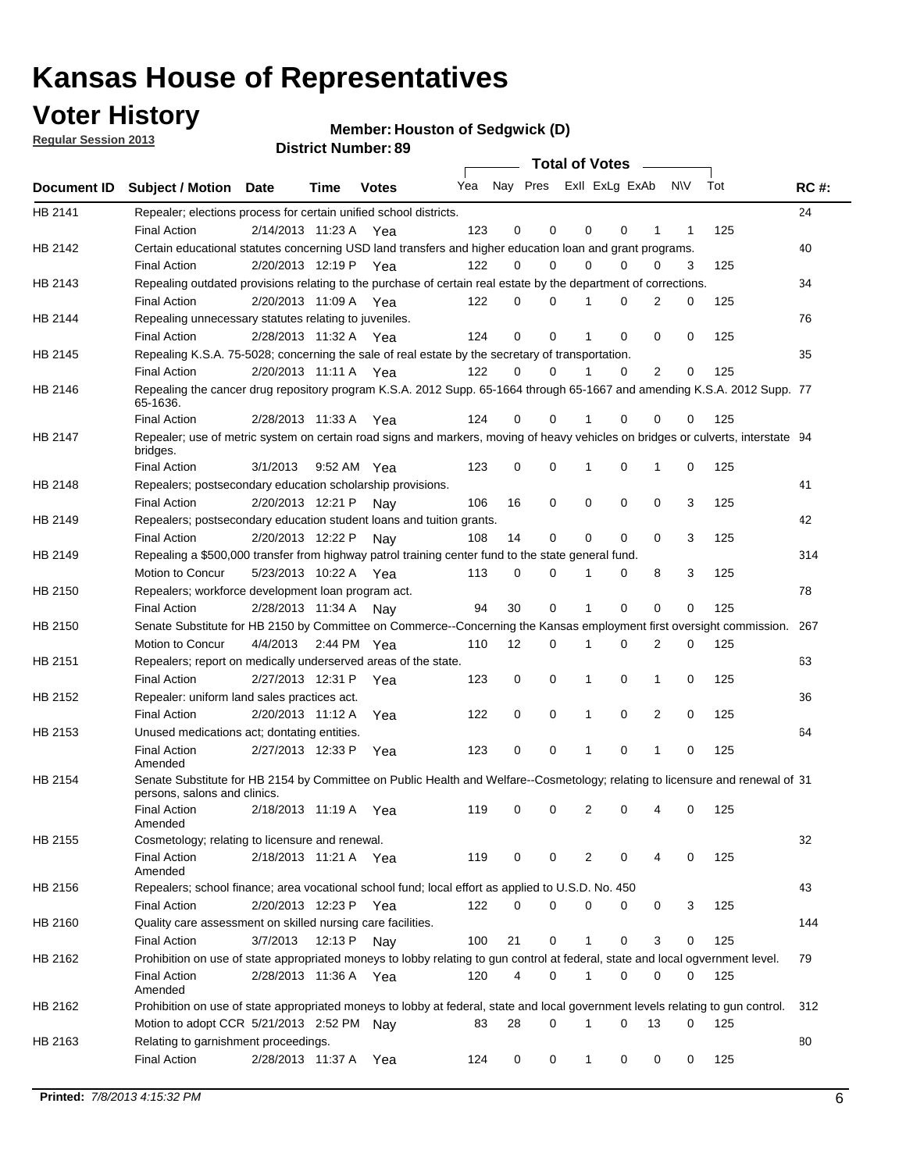## **Voter History**

**Member: Houston of Sedgwick (D)** 

**Regular Session 2013**

|             |                                                                                                                                              |          |                       |              |     |             | <b>Total of Votes</b>   |              |   | $\sim$         |           |     |             |
|-------------|----------------------------------------------------------------------------------------------------------------------------------------------|----------|-----------------------|--------------|-----|-------------|-------------------------|--------------|---|----------------|-----------|-----|-------------|
| Document ID | <b>Subject / Motion Date</b>                                                                                                                 |          | Time                  | <b>Votes</b> | Yea |             | Nay Pres ExII ExLg ExAb |              |   |                | <b>NV</b> | Tot | <b>RC#:</b> |
| HB 2141     | Repealer; elections process for certain unified school districts.                                                                            |          |                       |              |     |             |                         |              |   |                |           |     | 24          |
|             | <b>Final Action</b>                                                                                                                          |          | 2/14/2013 11:23 A Yea |              | 123 | 0           | 0                       | 0            | 0 | 1              | 1         | 125 |             |
| HB 2142     | Certain educational statutes concerning USD land transfers and higher education loan and grant programs.                                     |          |                       |              |     |             |                         |              |   |                |           |     | 40          |
|             | <b>Final Action</b>                                                                                                                          |          | 2/20/2013 12:19 P Yea |              | 122 | 0           | 0                       | $\Omega$     | 0 | $\Omega$       | 3         | 125 |             |
| HB 2143     | Repealing outdated provisions relating to the purchase of certain real estate by the department of corrections.                              |          |                       |              |     |             |                         |              |   |                |           |     | 34          |
|             | <b>Final Action</b>                                                                                                                          |          | 2/20/2013 11:09 A Yea |              | 122 | 0           | 0                       | 1            | 0 | $\overline{2}$ | 0         | 125 |             |
| HB 2144     | Repealing unnecessary statutes relating to juveniles.                                                                                        |          |                       |              |     |             |                         |              |   |                |           |     | 76          |
|             | <b>Final Action</b>                                                                                                                          |          | 2/28/2013 11:32 A Yea |              | 124 | $\mathbf 0$ | 0                       | 1            | 0 | 0              | 0         | 125 |             |
| HB 2145     | Repealing K.S.A. 75-5028; concerning the sale of real estate by the secretary of transportation.                                             |          |                       |              |     |             |                         |              |   |                |           |     | 35          |
|             | <b>Final Action</b>                                                                                                                          |          | 2/20/2013 11:11 A Yea |              | 122 | 0           | 0                       | 1            | 0 | 2              | 0         | 125 |             |
| HB 2146     | Repealing the cancer drug repository program K.S.A. 2012 Supp. 65-1664 through 65-1667 and amending K.S.A. 2012 Supp. 77<br>65-1636.         |          |                       |              |     |             |                         |              |   |                |           |     |             |
|             | <b>Final Action</b>                                                                                                                          |          | 2/28/2013 11:33 A     | Yea          | 124 | 0           | 0                       | 1            | 0 | 0              | 0         | 125 |             |
| HB 2147     | Repealer; use of metric system on certain road signs and markers, moving of heavy vehicles on bridges or culverts, interstate 94<br>bridges. |          |                       |              |     |             |                         |              |   |                |           |     |             |
|             | <b>Final Action</b>                                                                                                                          | 3/1/2013 |                       | 9:52 AM Yea  | 123 | $\mathbf 0$ | 0                       |              | 0 | 1              | 0         | 125 |             |
| HB 2148     | Repealers; postsecondary education scholarship provisions.                                                                                   |          |                       |              |     |             |                         |              |   |                |           |     | 41          |
|             | <b>Final Action</b>                                                                                                                          |          | 2/20/2013 12:21 P     | Nav          | 106 | 16          | 0                       | $\mathbf 0$  | 0 | $\mathbf 0$    | 3         | 125 |             |
| HB 2149     | Repealers; postsecondary education student loans and tuition grants.                                                                         |          |                       |              |     |             |                         |              |   |                |           |     | 42          |
|             | <b>Final Action</b>                                                                                                                          |          | 2/20/2013 12:22 P     | Nay          | 108 | 14          | 0                       | 0            | 0 | $\Omega$       | 3         | 125 |             |
| HB 2149     | Repealing a \$500,000 transfer from highway patrol training center fund to the state general fund.                                           |          |                       |              |     |             |                         |              |   |                |           |     | 314         |
|             | Motion to Concur                                                                                                                             |          | 5/23/2013 10:22 A Yea |              | 113 | 0           | 0                       |              | 0 | 8              | 3         | 125 |             |
| HB 2150     | Repealers; workforce development loan program act.                                                                                           |          |                       |              |     |             |                         |              |   |                |           |     | 78          |
|             | <b>Final Action</b>                                                                                                                          |          | 2/28/2013 11:34 A     | Nav          | 94  | 30          | 0                       | 1            | 0 | 0              | 0         | 125 |             |
| HB 2150     | Senate Substitute for HB 2150 by Committee on Commerce--Concerning the Kansas employment first oversight commission.                         |          |                       |              |     |             |                         |              |   |                |           |     | 267         |
|             | Motion to Concur                                                                                                                             |          | 4/4/2013 2:44 PM Yea  |              | 110 | 12          | 0                       | 1            | 0 | 2              | 0         | 125 |             |
| HB 2151     | Repealers; report on medically underserved areas of the state.                                                                               |          |                       |              |     |             |                         |              |   |                |           |     | 63          |
|             | <b>Final Action</b>                                                                                                                          |          | 2/27/2013 12:31 P     | Yea          | 123 | 0           | 0                       | 1            | 0 | 1              | 0         | 125 |             |
| HB 2152     | Repealer: uniform land sales practices act.                                                                                                  |          |                       |              |     |             |                         |              |   |                |           |     | 36          |
|             | <b>Final Action</b>                                                                                                                          |          | 2/20/2013 11:12 A     | Yea          | 122 | 0           | 0                       | 1            | 0 | 2              | 0         | 125 |             |
| HB 2153     | Unused medications act; dontating entities.                                                                                                  |          |                       |              |     |             |                         |              |   |                |           |     | 64          |
|             | <b>Final Action</b><br>Amended                                                                                                               |          | 2/27/2013 12:33 P     | Yea          | 123 | 0           | 0                       | 1            | 0 | $\mathbf{1}$   | 0         | 125 |             |
| HB 2154     | Senate Substitute for HB 2154 by Committee on Public Health and Welfare--Cosmetology; relating to licensure and renewal of 31                |          |                       |              |     |             |                         |              |   |                |           |     |             |
|             | persons, salons and clinics.<br><b>Final Action</b><br>Amended                                                                               |          | 2/18/2013 11:19 A     | Yea          | 119 | 0           | 0                       | 2            | 0 | 4              | 0         | 125 |             |
| HB 2155     | Cosmetology; relating to licensure and renewal.                                                                                              |          |                       |              |     |             |                         |              |   |                |           |     | 32          |
|             | <b>Final Action</b><br>Amended                                                                                                               |          | 2/18/2013 11:21 A Yea |              | 119 | 0           | 0                       | 2            | 0 |                | 0         | 125 |             |
| HB 2156     | Repealers; school finance; area vocational school fund; local effort as applied to U.S.D. No. 450                                            |          |                       |              |     |             |                         |              |   |                |           |     | 43          |
|             | <b>Final Action</b>                                                                                                                          |          | 2/20/2013 12:23 P     | Yea          | 122 | 0           | 0                       | 0            | 0 | 0              | 3         | 125 |             |
| HB 2160     | Quality care assessment on skilled nursing care facilities.                                                                                  |          |                       |              |     |             |                         |              |   |                |           |     | 144         |
|             | <b>Final Action</b>                                                                                                                          | 3/7/2013 | 12:13 P               | Nav          | 100 | 21          | 0                       | 1            | 0 | 3              | 0         | 125 |             |
| HB 2162     | Prohibition on use of state appropriated moneys to lobby relating to gun control at federal, state and local ogvernment level.               |          |                       |              |     |             |                         |              |   |                |           |     | 79          |
|             | <b>Final Action</b><br>Amended                                                                                                               |          | 2/28/2013 11:36 A Yea |              | 120 | 4           | 0                       | 1            | 0 | 0              | 0         | 125 |             |
| HB 2162     | Prohibition on use of state appropriated moneys to lobby at federal, state and local government levels relating to gun control.              |          |                       |              |     |             |                         |              |   |                |           |     | 312         |
|             | Motion to adopt CCR 5/21/2013 2:52 PM Nay                                                                                                    |          |                       |              | 83  | 28          | 0                       |              | 0 | 13             | 0         | 125 |             |
| HB 2163     | Relating to garnishment proceedings.                                                                                                         |          |                       |              |     |             |                         |              |   |                |           |     | 80          |
|             | <b>Final Action</b>                                                                                                                          |          | 2/28/2013 11:37 A     | Yea          | 124 | 0           | 0                       | $\mathbf{1}$ | 0 | 0              | 0         | 125 |             |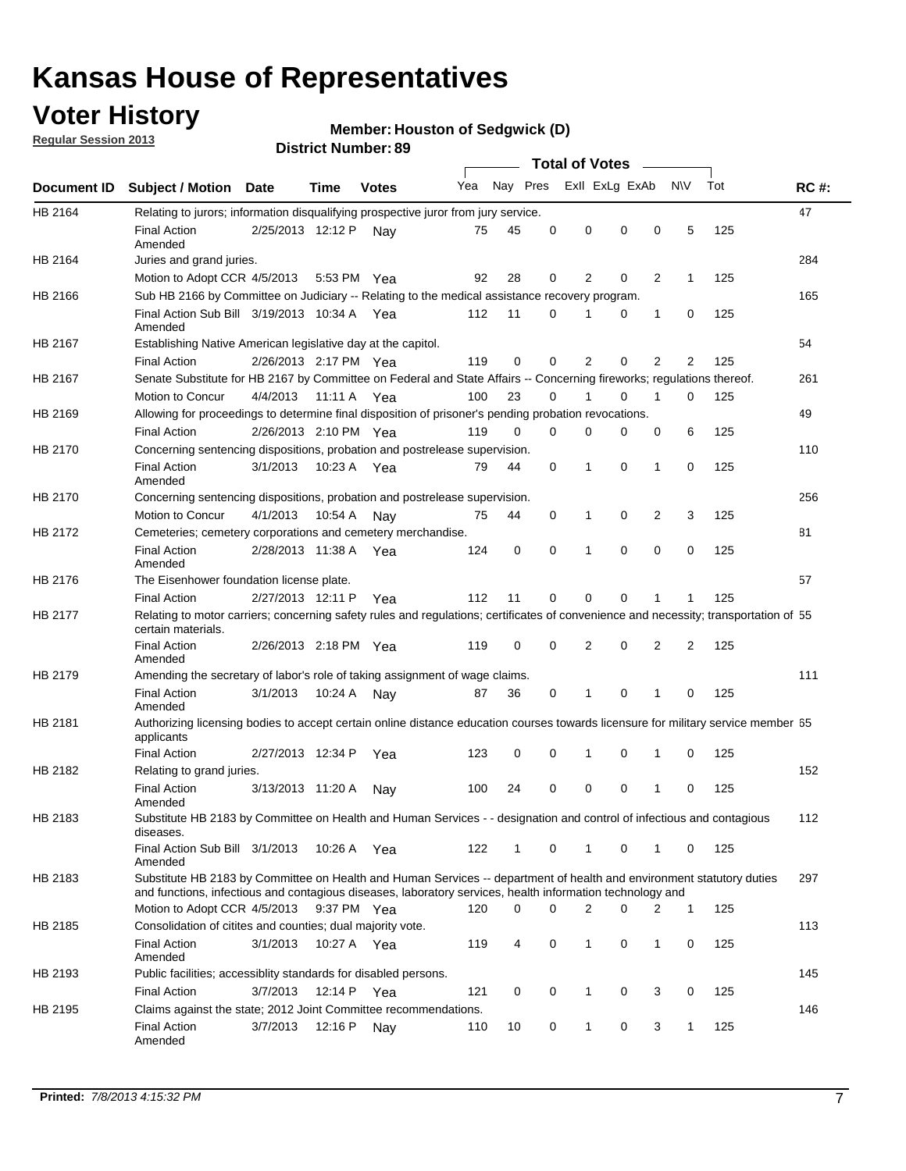## **Voter History**

**Member: Houston of Sedgwick (D)** 

**Regular Session 2013**

|                |                                                                                                                                                                                                                                    |                       |             |              |     |          |          | <b>Total of Votes</b> |   |              |              |     |             |
|----------------|------------------------------------------------------------------------------------------------------------------------------------------------------------------------------------------------------------------------------------|-----------------------|-------------|--------------|-----|----------|----------|-----------------------|---|--------------|--------------|-----|-------------|
| Document ID    | Subject / Motion Date                                                                                                                                                                                                              |                       | Time        | <b>Votes</b> | Yea | Nay Pres |          | Exll ExLg ExAb        |   |              | <b>NV</b>    | Tot | <b>RC#:</b> |
| <b>HB 2164</b> | Relating to jurors; information disqualifying prospective juror from jury service.                                                                                                                                                 |                       |             |              |     |          |          |                       |   |              |              |     | 47          |
|                | <b>Final Action</b>                                                                                                                                                                                                                | 2/25/2013 12:12 P     |             | Nav          | 75  | 45       | 0        | 0                     | 0 | 0            | 5            | 125 |             |
|                | Amended                                                                                                                                                                                                                            |                       |             |              |     |          |          |                       |   |              |              |     |             |
| HB 2164        | Juries and grand juries.                                                                                                                                                                                                           |                       |             |              |     |          |          |                       |   |              |              |     | 284         |
|                | Motion to Adopt CCR 4/5/2013                                                                                                                                                                                                       |                       |             | 5:53 PM Yea  | 92  | 28       | 0        | 2                     | 0 | 2            | $\mathbf{1}$ | 125 |             |
| HB 2166        | Sub HB 2166 by Committee on Judiciary -- Relating to the medical assistance recovery program.                                                                                                                                      |                       |             |              |     |          |          |                       |   |              |              |     | 165         |
|                | Final Action Sub Bill 3/19/2013 10:34 A Yea<br>Amended                                                                                                                                                                             |                       |             |              | 112 | 11       | 0        |                       | 0 | 1            | 0            | 125 |             |
| HB 2167        | Establishing Native American legislative day at the capitol.                                                                                                                                                                       |                       |             |              |     |          |          |                       |   |              |              |     | 54          |
|                | <b>Final Action</b>                                                                                                                                                                                                                | 2/26/2013 2:17 PM Yea |             |              | 119 | 0        | 0        | 2                     | 0 | 2            | 2            | 125 |             |
| HB 2167        | Senate Substitute for HB 2167 by Committee on Federal and State Affairs -- Concerning fireworks; regulations thereof.                                                                                                              |                       |             |              |     |          |          |                       |   |              |              |     | 261         |
|                | Motion to Concur                                                                                                                                                                                                                   | 4/4/2013 11:11 A Yea  |             |              | 100 | 23       | $\Omega$ |                       | 0 | 1            | $\Omega$     | 125 |             |
| HB 2169        | Allowing for proceedings to determine final disposition of prisoner's pending probation revocations.                                                                                                                               |                       |             |              |     |          |          |                       |   |              |              |     | 49          |
|                | <b>Final Action</b>                                                                                                                                                                                                                | 2/26/2013 2:10 PM Yea |             |              | 119 | $\Omega$ | $\Omega$ | 0                     | 0 | 0            | 6            | 125 |             |
| HB 2170        | Concerning sentencing dispositions, probation and postrelease supervision.                                                                                                                                                         |                       |             |              |     |          |          |                       |   |              |              |     | 110         |
|                | <b>Final Action</b><br>Amended                                                                                                                                                                                                     | 3/1/2013              | 10:23 A Yea |              | 79  | 44       | 0        | 1                     | 0 | $\mathbf{1}$ | 0            | 125 |             |
| HB 2170        | Concerning sentencing dispositions, probation and postrelease supervision.                                                                                                                                                         |                       |             |              |     |          |          |                       |   |              |              |     | 256         |
|                | Motion to Concur                                                                                                                                                                                                                   | 4/1/2013              | 10:54 A     | Nav          | 75  | 44       | 0        | 1                     | 0 | 2            | 3            | 125 |             |
| HB 2172        | Cemeteries; cemetery corporations and cemetery merchandise.                                                                                                                                                                        |                       |             |              |     |          |          |                       |   |              |              |     | 81          |
|                | <b>Final Action</b><br>Amended                                                                                                                                                                                                     | 2/28/2013 11:38 A     |             | Yea          | 124 | 0        | 0        | 1                     | 0 | 0            | 0            | 125 |             |
| HB 2176        | The Eisenhower foundation license plate.                                                                                                                                                                                           |                       |             |              |     |          |          |                       |   |              |              |     | 57          |
|                | <b>Final Action</b>                                                                                                                                                                                                                | 2/27/2013 12:11 P     |             | Yea          | 112 | 11       | 0        | 0                     | 0 |              |              | 125 |             |
| HB 2177        | Relating to motor carriers; concerning safety rules and regulations; certificates of convenience and necessity; transportation of 55<br>certain materials.                                                                         |                       |             |              |     |          |          |                       |   |              |              |     |             |
|                | <b>Final Action</b><br>Amended                                                                                                                                                                                                     | 2/26/2013 2:18 PM Yea |             |              | 119 | 0        | 0        | 2                     | 0 | 2            | 2            | 125 |             |
| HB 2179        | Amending the secretary of labor's role of taking assignment of wage claims.                                                                                                                                                        |                       |             |              |     |          |          |                       |   |              |              |     | 111         |
|                | <b>Final Action</b><br>Amended                                                                                                                                                                                                     | 3/1/2013              | 10:24 A     | Nav          | 87  | 36       | 0        | 1                     | 0 | 1            | 0            | 125 |             |
| HB 2181        | Authorizing licensing bodies to accept certain online distance education courses towards licensure for military service member 55<br>applicants                                                                                    |                       |             |              |     |          |          |                       |   |              |              |     |             |
|                | <b>Final Action</b>                                                                                                                                                                                                                | 2/27/2013 12:34 P     |             | Yea          | 123 | 0        | 0        | 1                     | 0 | 1            | 0            | 125 |             |
| HB 2182        | Relating to grand juries.                                                                                                                                                                                                          |                       |             |              |     |          |          |                       |   |              |              |     | 152         |
|                | <b>Final Action</b><br>Amended                                                                                                                                                                                                     | 3/13/2013 11:20 A     |             | Nav          | 100 | 24       | 0        | 0                     | 0 | 1            | 0            | 125 |             |
| HB 2183        | Substitute HB 2183 by Committee on Health and Human Services - - designation and control of infectious and contagious<br>diseases.                                                                                                 |                       |             |              |     |          |          |                       |   |              |              |     | 112         |
|                | Final Action Sub Bill 3/1/2013<br>Amended                                                                                                                                                                                          |                       |             | 10:26 A Yea  | 122 | 1        | 0        | $\mathbf{1}$          | 0 | 1            | 0            | 125 |             |
| HB 2183        | Substitute HB 2183 by Committee on Health and Human Services -- department of health and environment statutory duties<br>and functions, infectious and contagious diseases, laboratory services, health information technology and |                       |             |              |     |          |          |                       |   |              |              |     | 297         |
|                | Motion to Adopt CCR 4/5/2013                                                                                                                                                                                                       |                       |             | 9:37 PM Yea  | 120 | 0        | $\Omega$ | $\overline{2}$        | 0 | 2            | $\mathbf{1}$ | 125 |             |
| HB 2185        | Consolidation of citites and counties; dual majority vote.                                                                                                                                                                         |                       |             |              |     |          |          |                       |   |              |              |     | 113         |
|                | <b>Final Action</b><br>Amended                                                                                                                                                                                                     | 3/1/2013              |             | 10:27 A Yea  | 119 | 4        | 0        | 1                     | 0 | 1            | 0            | 125 |             |
| HB 2193        | Public facilities; accessiblity standards for disabled persons.                                                                                                                                                                    |                       |             |              |     |          |          |                       |   |              |              |     | 145         |
|                | <b>Final Action</b>                                                                                                                                                                                                                | 3/7/2013              | 12:14 P Yea |              | 121 | 0        | 0        | 1                     | 0 | 3            | 0            | 125 |             |
| HB 2195        | Claims against the state; 2012 Joint Committee recommendations.                                                                                                                                                                    |                       |             |              |     |          |          |                       |   |              |              |     | 146         |
|                | <b>Final Action</b><br>Amended                                                                                                                                                                                                     | 3/7/2013              | 12:16 P Nay |              | 110 | 10       | 0        | $\mathbf 1$           | 0 | 3            | $\mathbf{1}$ | 125 |             |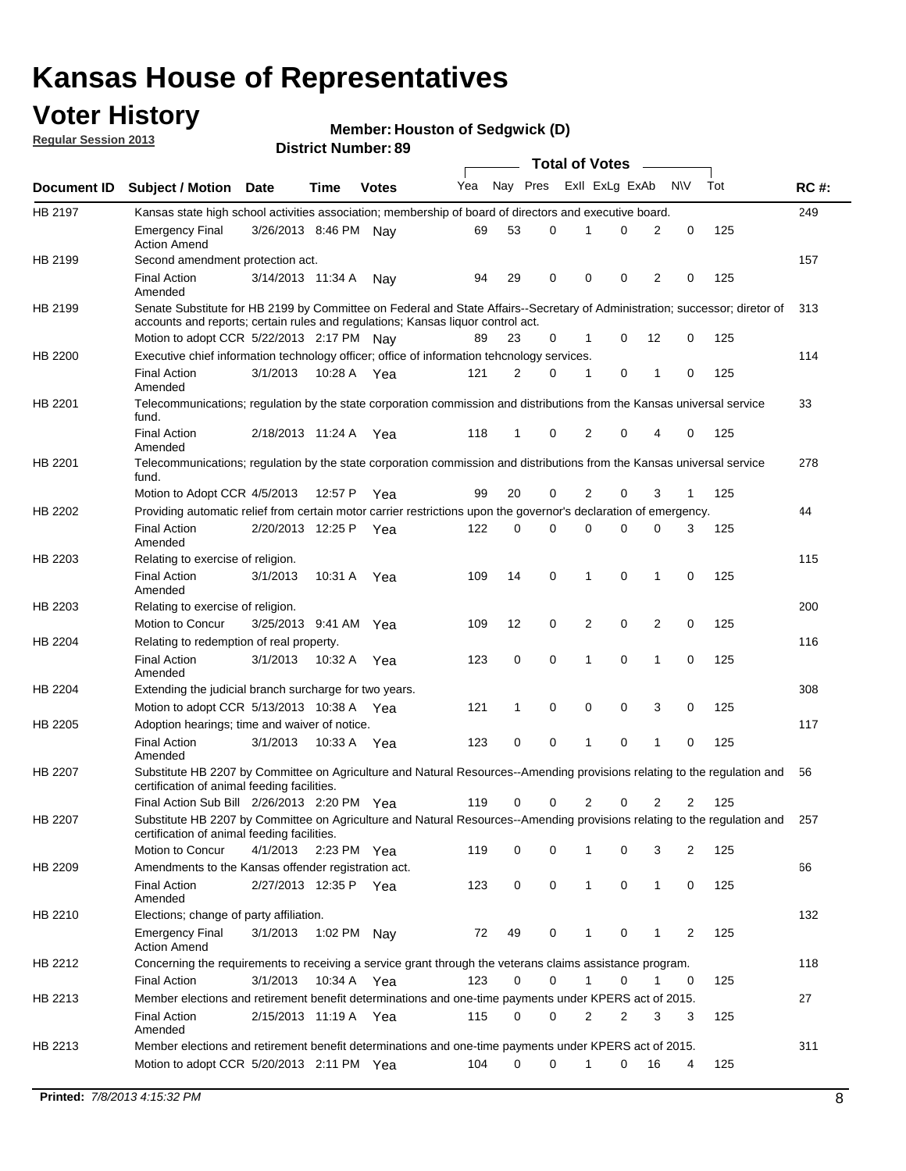## **Voter History**

**Member: Houston of Sedgwick (D)** 

**Regular Session 2013**

|             |                                                                                                                                                                                                                |                       |             |              |     |              |   | <b>Total of Votes</b> |             |                |                |     |             |
|-------------|----------------------------------------------------------------------------------------------------------------------------------------------------------------------------------------------------------------|-----------------------|-------------|--------------|-----|--------------|---|-----------------------|-------------|----------------|----------------|-----|-------------|
| Document ID | <b>Subject / Motion Date</b>                                                                                                                                                                                   |                       | Time        | <b>Votes</b> | Yea | Nay Pres     |   | Exll ExLg ExAb        |             |                | <b>NV</b>      | Tot | <b>RC#:</b> |
| HB 2197     | Kansas state high school activities association; membership of board of directors and executive board.                                                                                                         |                       |             |              |     |              |   |                       |             |                |                |     | 249         |
|             | <b>Emergency Final</b><br><b>Action Amend</b>                                                                                                                                                                  | 3/26/2013 8:46 PM     |             | Nav          | 69  | 53           | 0 | 1                     | 0           | 2              | 0              | 125 |             |
| HB 2199     | Second amendment protection act.                                                                                                                                                                               |                       |             |              |     |              |   |                       |             |                |                |     | 157         |
|             | <b>Final Action</b><br>Amended                                                                                                                                                                                 | 3/14/2013 11:34 A     |             | Nay          | 94  | 29           | 0 | 0                     | 0           | 2              | 0              | 125 |             |
| HB 2199     | Senate Substitute for HB 2199 by Committee on Federal and State Affairs--Secretary of Administration; successor; diretor of<br>accounts and reports; certain rules and regulations; Kansas liquor control act. |                       |             |              |     |              |   |                       |             |                |                |     | 313         |
|             | Motion to adopt CCR 5/22/2013 2:17 PM Nav                                                                                                                                                                      |                       |             |              | 89  | 23           | 0 | 1                     | 0           | 12             | 0              | 125 |             |
| HB 2200     | Executive chief information technology officer; office of information tehcnology services.                                                                                                                     |                       |             |              |     |              |   |                       |             |                |                |     | 114         |
|             | <b>Final Action</b><br>Amended                                                                                                                                                                                 | 3/1/2013              | 10:28 A     | Yea          | 121 | 2            | 0 | 1                     | 0           | 1              | 0              | 125 |             |
| HB 2201     | Telecommunications; regulation by the state corporation commission and distributions from the Kansas universal service<br>fund.                                                                                |                       |             |              |     |              |   |                       |             |                |                |     | 33          |
|             | <b>Final Action</b><br>Amended                                                                                                                                                                                 | 2/18/2013 11:24 A Yea |             |              | 118 | $\mathbf{1}$ | 0 | $\overline{2}$        | 0           | 4              | 0              | 125 |             |
| HB 2201     | Telecommunications; regulation by the state corporation commission and distributions from the Kansas universal service<br>fund.                                                                                |                       |             |              |     |              |   |                       |             |                |                |     | 278         |
|             | Motion to Adopt CCR 4/5/2013                                                                                                                                                                                   |                       | 12:57 P     | Yea          | 99  | 20           | 0 | 2                     | 0           | 3              | 1              | 125 |             |
| HB 2202     | Providing automatic relief from certain motor carrier restrictions upon the governor's declaration of emergency.                                                                                               |                       |             |              |     |              |   |                       |             |                |                |     | 44          |
|             | <b>Final Action</b><br>Amended                                                                                                                                                                                 | 2/20/2013 12:25 P     |             | Yea          | 122 | 0            | 0 | 0                     | 0           | 0              | 3              | 125 |             |
| HB 2203     | Relating to exercise of religion.                                                                                                                                                                              |                       |             |              |     |              |   |                       |             |                |                |     | 115         |
|             | <b>Final Action</b><br>Amended                                                                                                                                                                                 | 3/1/2013              |             | 10:31 A Yea  | 109 | 14           | 0 | 1                     | 0           | 1              | 0              | 125 |             |
| HB 2203     | Relating to exercise of religion.                                                                                                                                                                              |                       |             |              |     |              |   |                       |             |                |                |     | 200         |
|             | Motion to Concur                                                                                                                                                                                               | 3/25/2013 9:41 AM     |             | Yea          | 109 | 12           | 0 | 2                     | 0           | 2              | 0              | 125 |             |
| HB 2204     | Relating to redemption of real property.                                                                                                                                                                       |                       |             |              |     |              |   |                       |             |                |                |     | 116         |
|             | <b>Final Action</b><br>Amended                                                                                                                                                                                 | 3/1/2013              | 10:32 A     | Yea          | 123 | 0            | 0 | 1                     | $\mathbf 0$ | $\mathbf{1}$   | $\mathbf 0$    | 125 |             |
| HB 2204     | Extending the judicial branch surcharge for two years.                                                                                                                                                         |                       |             |              |     |              |   |                       |             |                |                |     | 308         |
|             | Motion to adopt CCR 5/13/2013 10:38 A Yea                                                                                                                                                                      |                       |             |              | 121 | 1            | 0 | 0                     | 0           | 3              | 0              | 125 |             |
| HB 2205     | Adoption hearings; time and waiver of notice.                                                                                                                                                                  |                       |             |              |     |              |   |                       |             |                |                |     | 117         |
|             | <b>Final Action</b><br>Amended                                                                                                                                                                                 | 3/1/2013              | 10:33 A Yea |              | 123 | 0            | 0 | 1                     | 0           | 1              | 0              | 125 |             |
| HB 2207     | Substitute HB 2207 by Committee on Agriculture and Natural Resources--Amending provisions relating to the regulation and<br>certification of animal feeding facilities.                                        |                       |             |              |     |              |   |                       |             |                |                |     | 56          |
|             | Final Action Sub Bill 2/26/2013 2:20 PM Yea                                                                                                                                                                    |                       |             |              | 119 | 0            | 0 | 2                     | 0           | $\overline{2}$ | $\overline{2}$ | 125 |             |
| HB 2207     | Substitute HB 2207 by Committee on Agriculture and Natural Resources--Amending provisions relating to the regulation and 257<br>certification of animal feeding facilities.                                    |                       |             |              |     |              |   |                       |             |                |                |     |             |
|             | Motion to Concur                                                                                                                                                                                               | 4/1/2013              | 2:23 PM Yea |              | 119 | 0            | 0 | 1                     | 0           | 3              | 2              | 125 |             |
| HB 2209     | Amendments to the Kansas offender registration act.                                                                                                                                                            |                       |             |              |     |              |   |                       |             |                |                |     | 66          |
|             | <b>Final Action</b><br>Amended                                                                                                                                                                                 | 2/27/2013 12:35 P Yea |             |              | 123 | 0            | 0 | $\mathbf{1}$          | 0           | $\mathbf{1}$   | 0              | 125 |             |
| HB 2210     | Elections; change of party affiliation.                                                                                                                                                                        |                       |             |              |     |              |   |                       |             |                |                |     | 132         |
|             | <b>Emergency Final</b><br><b>Action Amend</b>                                                                                                                                                                  | 3/1/2013              | 1:02 PM Nay |              | 72  | 49           | 0 | 1                     | 0           | 1              | 2              | 125 |             |
| HB 2212     | Concerning the requirements to receiving a service grant through the veterans claims assistance program.                                                                                                       |                       |             |              |     |              |   |                       |             |                |                |     | 118         |
|             | <b>Final Action</b>                                                                                                                                                                                            | 3/1/2013              | 10:34 A Yea |              | 123 | 0            | 0 | $\mathbf{1}$          | 0           | 1              | 0              | 125 |             |
| HB 2213     | Member elections and retirement benefit determinations and one-time payments under KPERS act of 2015.                                                                                                          |                       |             |              |     |              |   |                       |             |                |                |     | 27          |
|             | <b>Final Action</b><br>Amended                                                                                                                                                                                 | 2/15/2013 11:19 A Yea |             |              | 115 | 0            | 0 | 2                     | 2           | 3              | 3              | 125 |             |
| HB 2213     | Member elections and retirement benefit determinations and one-time payments under KPERS act of 2015.                                                                                                          |                       |             |              |     |              |   |                       |             |                |                |     | 311         |
|             | Motion to adopt CCR 5/20/2013 2:11 PM Yea                                                                                                                                                                      |                       |             |              | 104 | 0            | 0 | 1                     | 0           | 16             | 4              | 125 |             |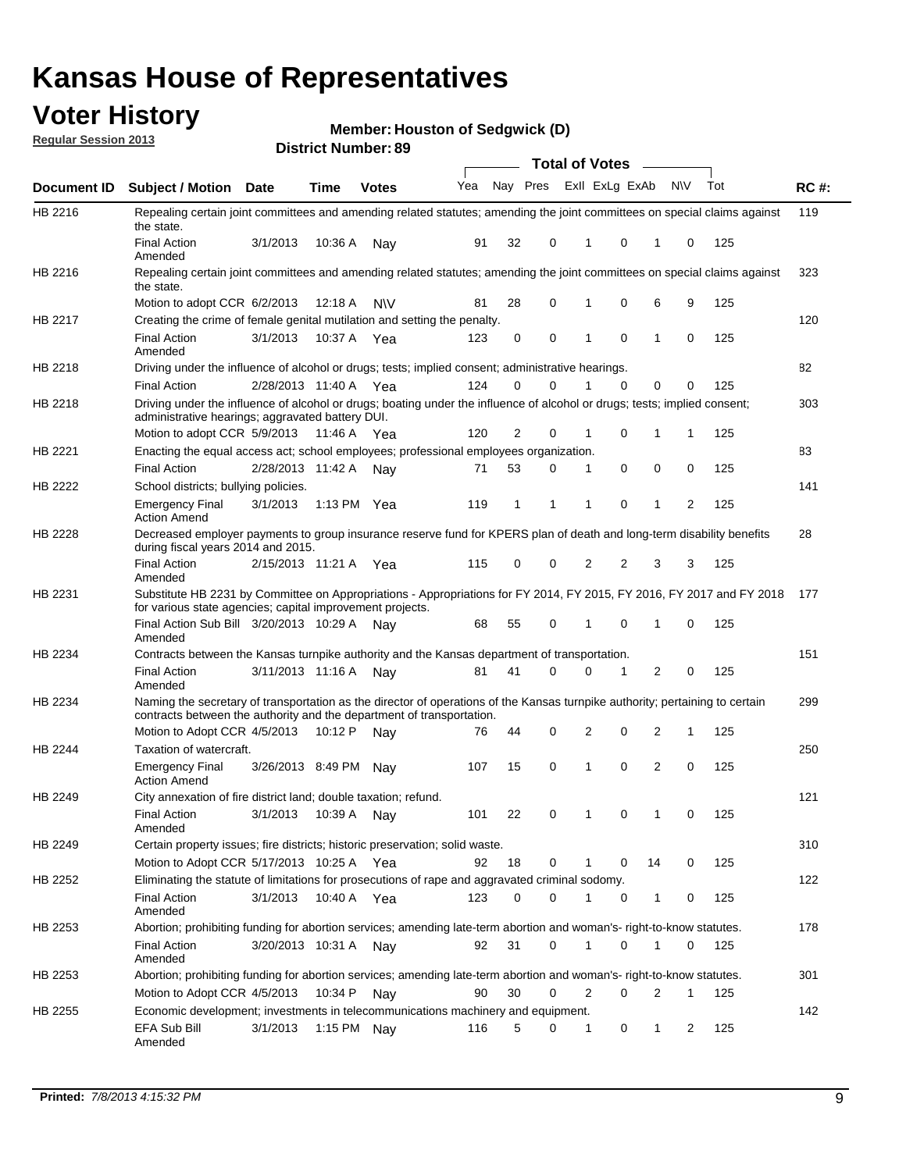## **Voter History**

**Member: Houston of Sedgwick (D)** 

**Regular Session 2013**

|                    |                                                                                                                                                                                                       |                   |         | טט הסעוווטנו ועוווטכו |              |    |   | <b>Total of Votes</b> |   | $\sim$         |           |     |     |
|--------------------|-------------------------------------------------------------------------------------------------------------------------------------------------------------------------------------------------------|-------------------|---------|-----------------------|--------------|----|---|-----------------------|---|----------------|-----------|-----|-----|
| <b>Document ID</b> | <b>Subject / Motion Date</b>                                                                                                                                                                          |                   | Time    | <b>Votes</b>          | Yea Nay Pres |    |   | Exll ExLg ExAb        |   |                | <b>NV</b> | Tot | RC# |
| HB 2216            | Repealing certain joint committees and amending related statutes; amending the joint committees on special claims against<br>the state.                                                               |                   |         |                       |              |    |   |                       |   |                |           |     | 119 |
|                    | <b>Final Action</b><br>Amended                                                                                                                                                                        | 3/1/2013          | 10:36 A | Nay                   | 91           | 32 | 0 | 1                     | 0 | 1              | 0         | 125 |     |
| HB 2216            | Repealing certain joint committees and amending related statutes; amending the joint committees on special claims against<br>the state.                                                               |                   |         |                       |              |    |   |                       |   |                |           |     | 323 |
|                    | Motion to adopt CCR 6/2/2013                                                                                                                                                                          |                   | 12:18 A | <b>NV</b>             | 81           | 28 | 0 | 1                     | 0 | 6              | 9         | 125 |     |
| HB 2217            | Creating the crime of female genital mutilation and setting the penalty.                                                                                                                              |                   |         |                       |              |    |   |                       |   |                |           |     | 120 |
|                    | <b>Final Action</b><br>Amended                                                                                                                                                                        | 3/1/2013          |         | 10:37 A Yea           | 123          | 0  | 0 | 1                     | 0 | $\mathbf{1}$   | 0         | 125 |     |
| HB 2218            | Driving under the influence of alcohol or drugs; tests; implied consent; administrative hearings.                                                                                                     |                   |         |                       |              |    |   |                       |   |                |           |     | 82  |
|                    | <b>Final Action</b>                                                                                                                                                                                   | 2/28/2013 11:40 A |         | Yea                   | 124          | 0  | 0 |                       | 0 | 0              | 0         | 125 |     |
| HB 2218            | Driving under the influence of alcohol or drugs; boating under the influence of alcohol or drugs; tests; implied consent;<br>administrative hearings; aggravated battery DUI.                         |                   |         |                       |              |    |   |                       |   |                |           |     | 303 |
|                    | Motion to adopt CCR 5/9/2013                                                                                                                                                                          |                   | 11:46 A | Yea                   | 120          | 2  | 0 | 1                     | 0 | 1              | 1         | 125 |     |
| HB 2221            | Enacting the equal access act; school employees; professional employees organization.                                                                                                                 |                   |         |                       |              |    |   |                       |   |                |           |     | 83  |
|                    | <b>Final Action</b>                                                                                                                                                                                   | 2/28/2013 11:42 A |         | Nav                   | 71           | 53 | 0 | 1                     | 0 | 0              | 0         | 125 |     |
| HB 2222            | School districts; bullying policies.<br><b>Emergency Final</b>                                                                                                                                        | 3/1/2013          |         | 1:13 PM $Yea$         | 119          | 1  | 1 | 1                     | 0 | 1              | 2         | 125 | 141 |
| <b>HB 2228</b>     | <b>Action Amend</b><br>Decreased employer payments to group insurance reserve fund for KPERS plan of death and long-term disability benefits<br>during fiscal years 2014 and 2015.                    |                   |         |                       |              |    |   |                       |   |                |           |     | 28  |
|                    | <b>Final Action</b><br>Amended                                                                                                                                                                        | 2/15/2013 11:21 A |         | Yea                   | 115          | 0  | 0 | 2                     | 2 | 3              | 3         | 125 |     |
| HB 2231            | Substitute HB 2231 by Committee on Appropriations - Appropriations for FY 2014, FY 2015, FY 2016, FY 2017 and FY 2018<br>for various state agencies; capital improvement projects.                    |                   |         |                       |              |    |   |                       |   |                |           |     | 177 |
|                    | Final Action Sub Bill 3/20/2013 10:29 A<br>Amended                                                                                                                                                    |                   |         | Nav                   | 68           | 55 | 0 |                       | 0 | 1              | 0         | 125 |     |
| HB 2234            | Contracts between the Kansas turnpike authority and the Kansas department of transportation.                                                                                                          |                   |         |                       |              |    |   |                       |   |                |           |     | 151 |
|                    | <b>Final Action</b><br>Amended                                                                                                                                                                        | 3/11/2013 11:16 A |         | Nav                   | 81           | 41 | 0 | 0                     | 1 | $\overline{2}$ | 0         | 125 |     |
| HB 2234            | Naming the secretary of transportation as the director of operations of the Kansas turnpike authority; pertaining to certain<br>contracts between the authority and the department of transportation. |                   |         |                       |              |    |   |                       |   |                |           |     | 299 |
|                    | Motion to Adopt CCR 4/5/2013                                                                                                                                                                          |                   | 10:12 P | Nav                   | 76           | 44 | 0 | 2                     | 0 | 2              | 1         | 125 |     |
| HB 2244            | Taxation of watercraft.<br><b>Emergency Final</b>                                                                                                                                                     | 3/26/2013 8:49 PM |         | Nav                   | 107          | 15 | 0 | 1                     | 0 | 2              | 0         | 125 | 250 |
|                    | <b>Action Amend</b>                                                                                                                                                                                   |                   |         |                       |              |    |   |                       |   |                |           |     |     |
| HB 2249            | City annexation of fire district land; double taxation; refund.                                                                                                                                       |                   |         |                       |              |    |   |                       |   |                |           |     | 121 |
|                    | Final Action 3/1/2013 10:39 A Nay<br>Amended                                                                                                                                                          |                   |         |                       | 101          | 22 | 0 | $\mathbf{1}$          | 0 | $\mathbf{1}$   | 0         | 125 |     |
| HB 2249            | Certain property issues; fire districts; historic preservation; solid waste.                                                                                                                          |                   |         |                       |              |    |   |                       |   |                |           |     | 310 |
|                    | Motion to Adopt CCR 5/17/2013 10:25 A Yea                                                                                                                                                             |                   |         |                       | 92           | 18 | 0 | 1                     | 0 | 14             | 0         | 125 |     |
| HB 2252            | Eliminating the statute of limitations for prosecutions of rape and aggravated criminal sodomy.                                                                                                       |                   |         |                       |              |    |   |                       |   |                |           |     | 122 |
|                    | <b>Final Action</b><br>Amended                                                                                                                                                                        | 3/1/2013          |         | 10:40 A Yea           | 123          | 0  | 0 |                       | 0 | 1              | 0         | 125 |     |
| HB 2253            | Abortion; prohibiting funding for abortion services; amending late-term abortion and woman's- right-to-know statutes.                                                                                 |                   |         |                       |              |    |   |                       |   |                |           |     | 178 |
|                    | <b>Final Action</b><br>Amended                                                                                                                                                                        | 3/20/2013 10:31 A |         | Nav                   | 92           | 31 | 0 | 1                     | 0 | 1              | 0         | 125 |     |
| HB 2253            | Abortion; prohibiting funding for abortion services; amending late-term abortion and woman's- right-to-know statutes.                                                                                 |                   |         |                       |              |    |   |                       |   |                |           |     | 301 |
|                    | Motion to Adopt CCR 4/5/2013                                                                                                                                                                          |                   | 10:34 P | Nav                   | 90           | 30 | 0 | 2                     | 0 | 2              | 1         | 125 |     |
| HB 2255            | Economic development; investments in telecommunications machinery and equipment.                                                                                                                      |                   |         |                       |              |    |   |                       |   |                |           |     | 142 |
|                    | EFA Sub Bill<br>Amended                                                                                                                                                                               | 3/1/2013          |         | 1:15 PM Nay           | 116          | 5  | 0 | -1                    | 0 | 1              | 2         | 125 |     |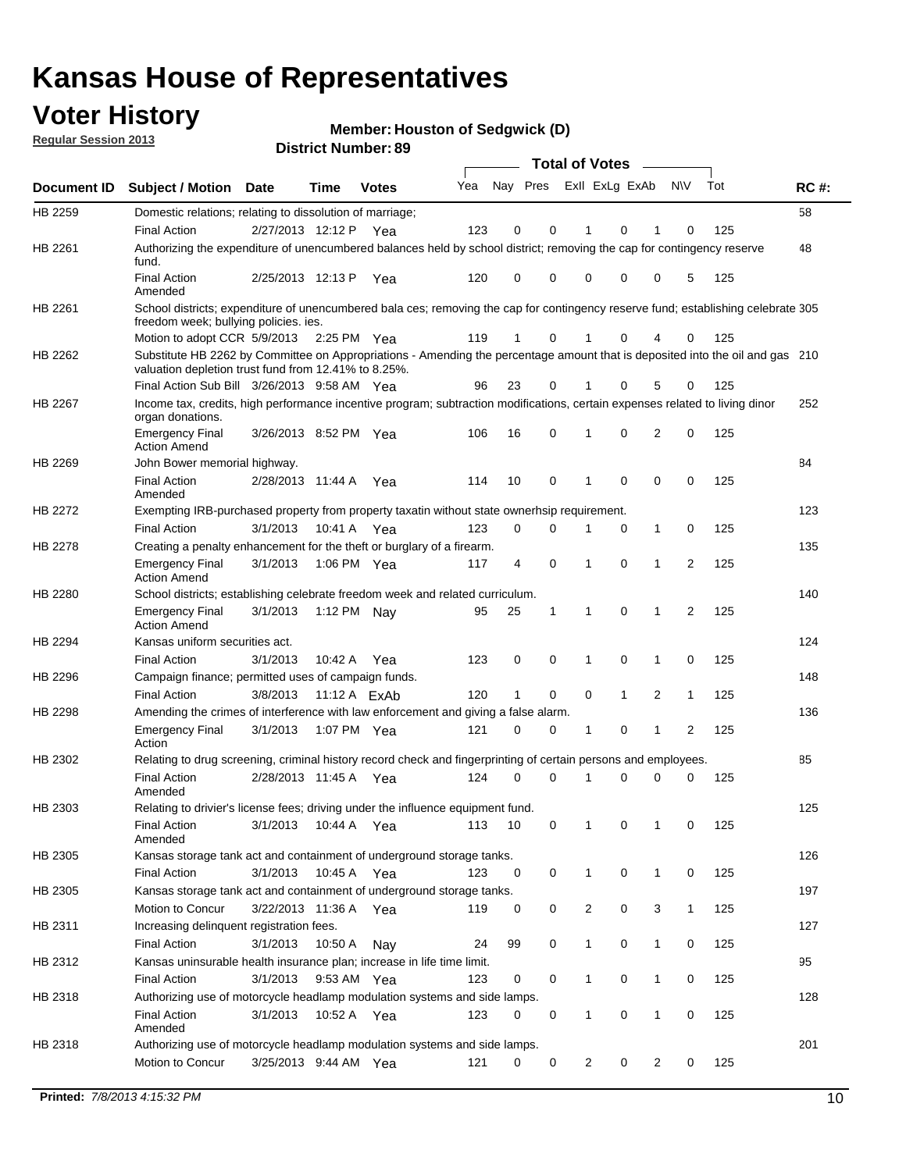## **Voter History**

**Member: Houston of Sedgwick (D)** 

**Regular Session 2013**

|                    |                                                                                                                                                                                       |                       | טט הסעוווטנו ועוווסו |              |     |          |          | <b>Total of Votes</b> |              | $\sim$       |                |     |     |
|--------------------|---------------------------------------------------------------------------------------------------------------------------------------------------------------------------------------|-----------------------|----------------------|--------------|-----|----------|----------|-----------------------|--------------|--------------|----------------|-----|-----|
| <b>Document ID</b> | <b>Subject / Motion Date</b>                                                                                                                                                          |                       | <b>Time</b>          | <b>Votes</b> | Yea | Nay Pres |          | Exll ExLg ExAb        |              |              | <b>NV</b>      | Tot | RC# |
| HB 2259            | Domestic relations; relating to dissolution of marriage;                                                                                                                              |                       |                      |              |     |          |          |                       |              |              |                |     | 58  |
|                    | <b>Final Action</b>                                                                                                                                                                   | 2/27/2013 12:12 P     |                      | Yea          | 123 | 0        | 0        | 1                     | 0            | 1            | 0              | 125 |     |
| HB 2261            | Authorizing the expenditure of unencumbered balances held by school district; removing the cap for contingency reserve<br>fund.                                                       |                       |                      |              |     |          |          |                       |              |              |                |     | 48  |
|                    | <b>Final Action</b><br>Amended                                                                                                                                                        | 2/25/2013 12:13 P     |                      | Yea          | 120 | 0        | 0        | 0                     | 0            | 0            | 5              | 125 |     |
| HB 2261            | School districts; expenditure of unencumbered bala ces; removing the cap for contingency reserve fund; establishing celebrate 305<br>freedom week; bullying policies. ies.            |                       |                      |              |     |          |          |                       |              |              |                |     |     |
|                    | Motion to adopt CCR 5/9/2013 2:25 PM Yea                                                                                                                                              |                       |                      |              | 119 | 1        | 0        | 1                     | 0            | 4            | 0              | 125 |     |
| HB 2262            | Substitute HB 2262 by Committee on Appropriations - Amending the percentage amount that is deposited into the oil and gas 210<br>valuation depletion trust fund from 12.41% to 8.25%. |                       |                      |              |     |          |          |                       |              |              |                |     |     |
|                    | Final Action Sub Bill 3/26/2013 9:58 AM Yea                                                                                                                                           |                       |                      |              | 96  | 23       | 0        |                       | 0            | 5            | 0              | 125 |     |
| HB 2267            | Income tax, credits, high performance incentive program; subtraction modifications, certain expenses related to living dinor<br>organ donations.                                      |                       |                      |              |     |          |          |                       |              |              |                |     | 252 |
|                    | <b>Emergency Final</b><br><b>Action Amend</b>                                                                                                                                         | 3/26/2013 8:52 PM Yea |                      |              | 106 | 16       | 0        | 1                     | 0            | 2            | 0              | 125 |     |
| HB 2269            | John Bower memorial highway.                                                                                                                                                          |                       |                      |              |     |          |          |                       |              |              |                |     | 84  |
|                    | <b>Final Action</b><br>Amended                                                                                                                                                        | 2/28/2013 11:44 A Yea |                      |              | 114 | 10       | 0        | 1                     | 0            | 0            | 0              | 125 |     |
| <b>HB 2272</b>     | Exempting IRB-purchased property from property taxatin without state ownerhsip requirement.                                                                                           |                       |                      |              |     |          |          |                       |              |              |                |     | 123 |
|                    | <b>Final Action</b>                                                                                                                                                                   | 3/1/2013              | 10:41 A              | Yea          | 123 | 0        | 0        | 1                     | 0            | $\mathbf{1}$ | 0              | 125 |     |
| HB 2278            | Creating a penalty enhancement for the theft or burglary of a firearm.                                                                                                                |                       |                      |              |     |          |          |                       |              |              |                |     | 135 |
|                    | <b>Emergency Final</b><br><b>Action Amend</b>                                                                                                                                         | 3/1/2013              | 1:06 PM Yea          |              | 117 | 4        | 0        | 1                     | $\Omega$     | 1            | $\overline{2}$ | 125 |     |
| HB 2280            | School districts; establishing celebrate freedom week and related curriculum.                                                                                                         |                       |                      |              |     |          |          |                       |              |              |                |     | 140 |
|                    | <b>Emergency Final</b><br><b>Action Amend</b>                                                                                                                                         | 3/1/2013              | 1:12 PM Nay          |              | 95  | 25       | 1        | 1                     | 0            | 1            | 2              | 125 |     |
| HB 2294            | Kansas uniform securities act.                                                                                                                                                        |                       |                      |              |     |          |          |                       |              |              |                |     | 124 |
|                    | <b>Final Action</b>                                                                                                                                                                   | 3/1/2013              | 10:42 A              | Yea          | 123 | 0        | 0        | 1                     | 0            | 1            | 0              | 125 |     |
| HB 2296            | Campaign finance; permitted uses of campaign funds.                                                                                                                                   |                       |                      |              |     |          |          |                       |              |              |                |     | 148 |
|                    | <b>Final Action</b>                                                                                                                                                                   | 3/8/2013              | 11:12 A ExAb         |              | 120 | 1        | 0        | 0                     | $\mathbf{1}$ | 2            | $\mathbf{1}$   | 125 |     |
| HB 2298            | Amending the crimes of interference with law enforcement and giving a false alarm.                                                                                                    |                       |                      |              |     |          |          |                       |              |              |                |     | 136 |
|                    | <b>Emergency Final</b><br>Action                                                                                                                                                      | 3/1/2013              | 1:07 PM Yea          |              | 121 | 0        | 0        | 1                     | 0            | 1            | 2              | 125 |     |
| HB 2302            | Relating to drug screening, criminal history record check and fingerprinting of certain persons and employees.                                                                        |                       |                      |              |     |          |          |                       |              |              |                |     | 85  |
|                    | <b>Final Action</b><br>Amended                                                                                                                                                        | 2/28/2013 11:45 A     |                      | Yea          | 124 | 0        | $\Omega$ | 1                     | 0            | 0            | 0              | 125 |     |
| HB 2303            | Relating to drivier's license fees; driving under the influence equipment fund.                                                                                                       |                       |                      |              |     |          |          |                       |              |              |                |     | 125 |
|                    | <b>Final Action</b><br>Amended                                                                                                                                                        | 3/1/2013              | 10:44 A              | Yea          | 113 | 10       | 0        | 1                     | 0            | 1            | 0              | 125 |     |
| HB 2305            | Kansas storage tank act and containment of underground storage tanks.                                                                                                                 |                       |                      |              |     |          |          |                       |              |              |                |     | 126 |
|                    | Final Action                                                                                                                                                                          | 3/1/2013              | 10:45 A              | Yea          | 123 | 0        | 0        | 1                     | 0            | 1            | 0              | 125 |     |
| HB 2305            | Kansas storage tank act and containment of underground storage tanks.                                                                                                                 |                       |                      |              |     |          |          |                       |              |              |                |     | 197 |
|                    | Motion to Concur                                                                                                                                                                      | 3/22/2013 11:36 A     |                      | Yea          | 119 | 0        | 0        | $\overline{c}$        | 0            | 3            | $\mathbf{1}$   | 125 |     |
| HB 2311            | Increasing delinquent registration fees.                                                                                                                                              |                       |                      |              |     |          |          |                       |              |              |                |     | 127 |
|                    | <b>Final Action</b>                                                                                                                                                                   | 3/1/2013              | 10:50 A              | Nay          | 24  | 99       | 0        | 1                     | 0            | $\mathbf{1}$ | 0              | 125 |     |
| HB 2312            | Kansas uninsurable health insurance plan; increase in life time limit.                                                                                                                |                       |                      |              |     |          |          |                       |              |              |                |     | 95  |
|                    | <b>Final Action</b>                                                                                                                                                                   | 3/1/2013              | 9:53 AM Yea          |              | 123 | 0        | 0        |                       | 0            | 1            | 0              | 125 |     |
| HB 2318            | Authorizing use of motorcycle headlamp modulation systems and side lamps.                                                                                                             |                       |                      |              |     |          |          |                       |              |              |                |     | 128 |
|                    | <b>Final Action</b><br>Amended                                                                                                                                                        | 3/1/2013              | 10:52 A              | Yea          | 123 | 0        | 0        | 1                     | 0            | 1            | 0              | 125 |     |
| HB 2318            | Authorizing use of motorcycle headlamp modulation systems and side lamps.                                                                                                             |                       |                      |              |     |          |          |                       |              |              |                |     | 201 |
|                    | Motion to Concur                                                                                                                                                                      | 3/25/2013 9:44 AM Yea |                      |              | 121 | 0        | 0        | 2                     | 0            | 2            | 0              | 125 |     |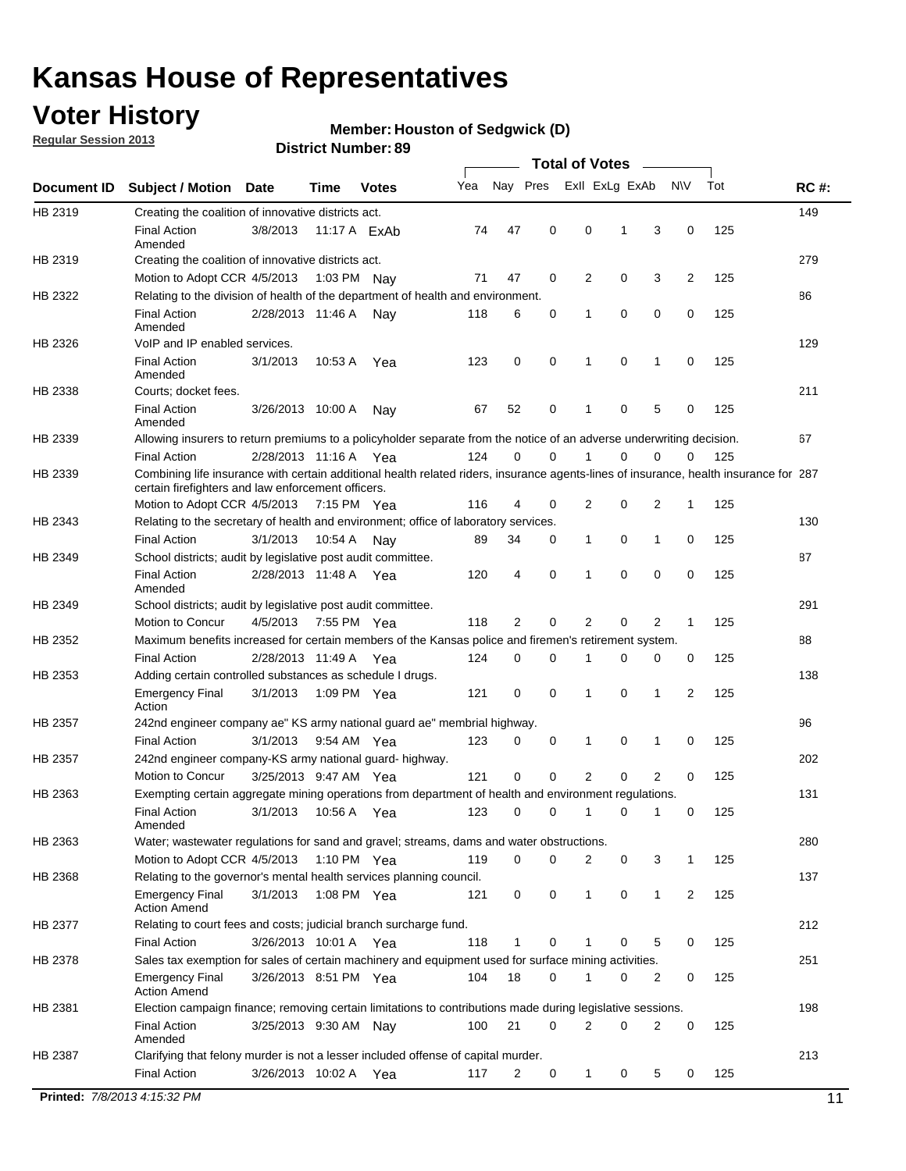## **Voter History**

**Regular Session 2013**

#### **Member: Houston of Sedgwick (D)**

|             |                                                                                                                                                                                             |                       | PISUIVLINUIIIN <del>G</del> I . UJ |              |     |                |             | Total of Votes  |   |                |     |     |             |
|-------------|---------------------------------------------------------------------------------------------------------------------------------------------------------------------------------------------|-----------------------|------------------------------------|--------------|-----|----------------|-------------|-----------------|---|----------------|-----|-----|-------------|
| Document ID | <b>Subject / Motion Date</b>                                                                                                                                                                |                       | <b>Time</b>                        | <b>Votes</b> | Yea | Nay Pres       |             | Exll ExLg ExAb  |   |                | N\V | Tot | <b>RC#:</b> |
| HB 2319     | Creating the coalition of innovative districts act.                                                                                                                                         |                       |                                    |              |     |                |             |                 |   |                |     |     | 149         |
|             | <b>Final Action</b><br>Amended                                                                                                                                                              | 3/8/2013              | 11:17 A ExAb                       |              | 74  | 47             | 0           | $\mathbf 0$     | 1 | 3              | 0   | 125 |             |
| HB 2319     | Creating the coalition of innovative districts act.                                                                                                                                         |                       |                                    |              |     |                |             |                 |   |                |     |     | 279         |
|             | Motion to Adopt CCR 4/5/2013                                                                                                                                                                |                       | 1:03 PM Nav                        |              | 71  | 47             | 0           | 2               | 0 | 3              | 2   | 125 |             |
| HB 2322     | Relating to the division of health of the department of health and environment.                                                                                                             |                       |                                    |              |     |                |             |                 |   |                |     |     | 86          |
|             | <b>Final Action</b><br>Amended                                                                                                                                                              | 2/28/2013 11:46 A     |                                    | Nav          | 118 | 6              | 0           | 1               | 0 | 0              | 0   | 125 |             |
| HB 2326     | VoIP and IP enabled services.                                                                                                                                                               |                       |                                    |              |     |                |             |                 |   |                |     |     | 129         |
|             | <b>Final Action</b><br>Amended                                                                                                                                                              | 3/1/2013              | 10:53 A                            | Yea          | 123 | $\mathbf 0$    | 0           | 1               | 0 | 1              | 0   | 125 |             |
| HB 2338     | Courts; docket fees.                                                                                                                                                                        |                       |                                    |              |     |                |             |                 |   |                |     |     | 211         |
|             | <b>Final Action</b><br>Amended                                                                                                                                                              | 3/26/2013 10:00 A     |                                    | Nav          | 67  | 52             | 0           | 1               | 0 | 5              | 0   | 125 |             |
| HB 2339     | Allowing insurers to return premiums to a policyholder separate from the notice of an adverse underwriting decision.                                                                        |                       |                                    |              |     |                |             |                 |   |                |     |     | 67          |
|             | <b>Final Action</b>                                                                                                                                                                         | 2/28/2013 11:16 A Yea |                                    |              | 124 | 0              | 0           | 1               | 0 | 0              | 0   | 125 |             |
| HB 2339     | Combining life insurance with certain additional health related riders, insurance agents-lines of insurance, health insurance for 287<br>certain firefighters and law enforcement officers. |                       |                                    |              |     |                |             |                 |   |                |     |     |             |
|             | Motion to Adopt CCR 4/5/2013 7:15 PM Yea                                                                                                                                                    |                       |                                    |              | 116 | $\overline{4}$ | 0           | $\overline{2}$  | 0 | 2              | 1   | 125 |             |
| HB 2343     | Relating to the secretary of health and environment; office of laboratory services.                                                                                                         |                       |                                    |              |     |                |             |                 |   |                |     |     | 130         |
|             | <b>Final Action</b>                                                                                                                                                                         | 3/1/2013              | 10:54 A                            | Nav          | 89  | 34             | 0           | 1               | 0 | 1              | 0   | 125 |             |
| HB 2349     | School districts; audit by legislative post audit committee.                                                                                                                                |                       |                                    |              |     |                |             |                 |   |                |     |     | 87          |
|             | <b>Final Action</b><br>Amended                                                                                                                                                              | 2/28/2013 11:48 A Yea |                                    |              | 120 | $\overline{4}$ | 0           | 1               | 0 | 0              | 0   | 125 |             |
| HB 2349     | School districts; audit by legislative post audit committee.                                                                                                                                |                       |                                    |              |     |                |             |                 |   |                |     |     | 291         |
|             | Motion to Concur                                                                                                                                                                            | 4/5/2013              | 7:55 PM Yea                        |              | 118 | 2              | 0           | 2               | 0 | 2              | 1   | 125 |             |
| HB 2352     | Maximum benefits increased for certain members of the Kansas police and firemen's retirement system.                                                                                        |                       |                                    |              |     |                |             |                 |   |                |     |     | 88          |
|             | <b>Final Action</b>                                                                                                                                                                         | 2/28/2013 11:49 A Yea |                                    |              | 124 | 0              | 0           | 1               | 0 | 0              | 0   | 125 |             |
| HB 2353     | Adding certain controlled substances as schedule I drugs.                                                                                                                                   |                       |                                    |              |     |                |             |                 |   |                |     |     | 138         |
|             | <b>Emergency Final</b><br>Action                                                                                                                                                            | 3/1/2013              | 1:09 PM Yea                        |              | 121 | 0              | $\mathbf 0$ | 1               | 0 | 1              | 2   | 125 |             |
| HB 2357     | 242nd engineer company ae" KS army national guard ae" membrial highway.                                                                                                                     |                       |                                    |              |     |                |             |                 |   |                |     |     | 96          |
|             | <b>Final Action</b>                                                                                                                                                                         | 3/1/2013              | 9:54 AM Yea                        |              | 123 | 0              | 0           | 1               | 0 | 1              | 0   | 125 |             |
| HB 2357     | 242nd engineer company-KS army national guard- highway.                                                                                                                                     |                       |                                    |              |     |                |             |                 |   |                |     |     | 202         |
|             | Motion to Concur                                                                                                                                                                            | 3/25/2013 9:47 AM Yea |                                    |              | 121 | 0              | 0           | 2               | 0 | $\overline{2}$ | 0   | 125 |             |
| HB 2363     | Exempting certain aggregate mining operations from department of health and environment regulations.                                                                                        |                       |                                    |              |     |                |             |                 |   |                |     |     | 131         |
|             | Final Action 3/1/2013 10:56 A Yea<br>Amended                                                                                                                                                |                       |                                    |              |     |                |             | 123 0 0 1 0 1 0 |   |                |     | 125 |             |
| HB 2363     | Water; wastewater regulations for sand and gravel; streams, dams and water obstructions.                                                                                                    |                       |                                    |              |     |                |             |                 |   |                |     |     | 280         |
|             | Motion to Adopt CCR 4/5/2013 1:10 PM Yea                                                                                                                                                    |                       |                                    |              | 119 | 0              | 0           | $\overline{2}$  | 0 | 3              | 1   | 125 |             |
| HB 2368     | Relating to the governor's mental health services planning council.                                                                                                                         |                       |                                    |              |     |                |             |                 |   |                |     |     | 137         |
|             | <b>Emergency Final</b><br><b>Action Amend</b>                                                                                                                                               | 3/1/2013              | 1:08 PM Yea                        |              | 121 | 0              | 0           | 1               | 0 | $\mathbf 1$    | 2   | 125 |             |
| HB 2377     | Relating to court fees and costs; judicial branch surcharge fund.                                                                                                                           |                       |                                    |              |     |                |             |                 |   |                |     |     | 212         |
|             | <b>Final Action</b>                                                                                                                                                                         | 3/26/2013 10:01 A Yea |                                    |              | 118 | 1              | 0           |                 | 0 | 5              | 0   | 125 |             |
| HB 2378     | Sales tax exemption for sales of certain machinery and equipment used for surface mining activities.                                                                                        |                       |                                    |              |     |                |             |                 |   |                |     |     | 251         |
|             | <b>Emergency Final</b><br><b>Action Amend</b>                                                                                                                                               | 3/26/2013 8:51 PM Yea |                                    |              | 104 | 18             | 0           | 1               | 0 | 2              | 0   | 125 |             |
| HB 2381     | Election campaign finance; removing certain limitations to contributions made during legislative sessions.                                                                                  |                       |                                    |              |     |                |             |                 |   |                |     |     | 198         |
|             | <b>Final Action</b>                                                                                                                                                                         | 3/25/2013 9:30 AM Nay |                                    |              | 100 | 21             | 0           | 2               | 0 | 2              | 0   | 125 |             |
|             | Amended                                                                                                                                                                                     |                       |                                    |              |     |                |             |                 |   |                |     |     |             |
| HB 2387     | Clarifying that felony murder is not a lesser included offense of capital murder.                                                                                                           |                       |                                    |              |     |                |             |                 |   |                |     |     | 213         |
|             | <b>Final Action</b>                                                                                                                                                                         |                       | 3/26/2013 10:02 A Yea              |              | 117 | $\overline{2}$ | 0           | $\mathbf{1}$    | 0 | 5              | 0   | 125 |             |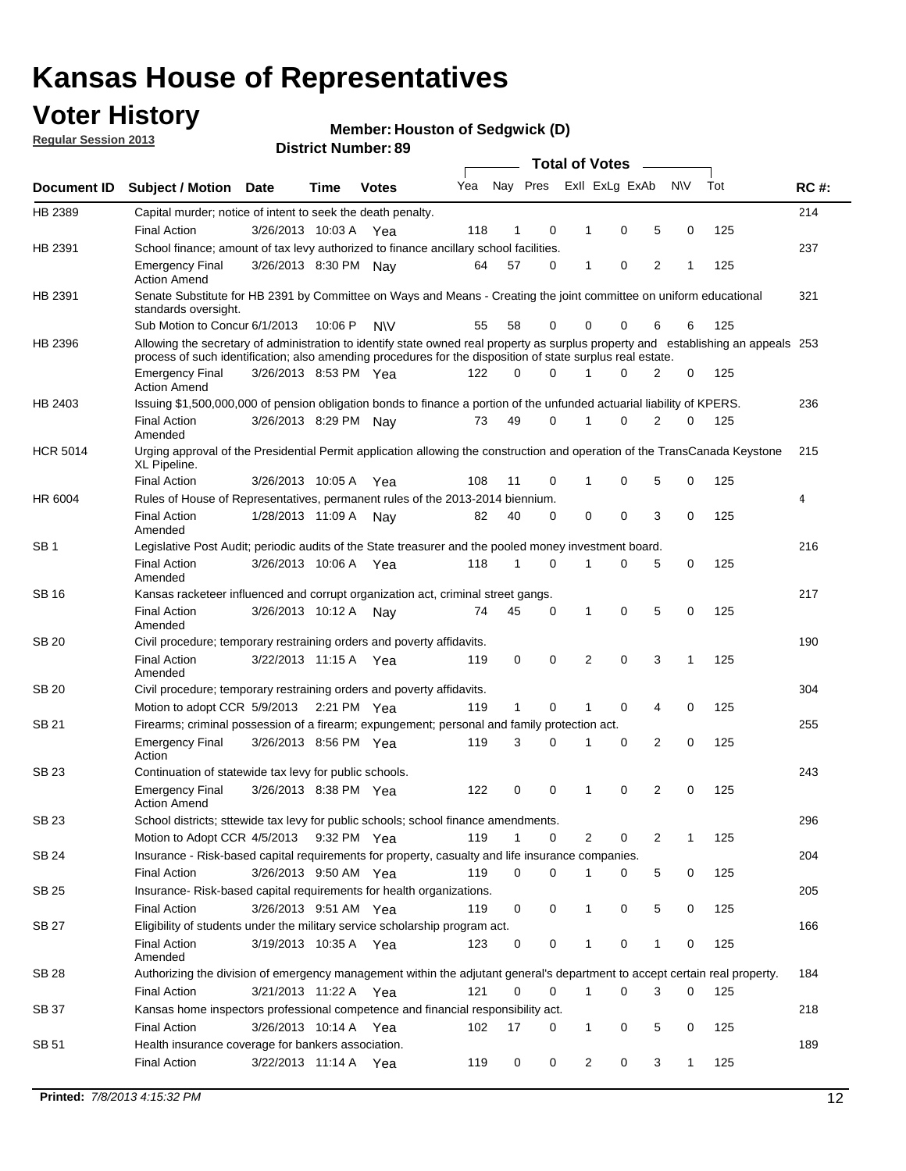## **Voter History**

**Member: Houston of Sedgwick (D)** 

**Regular Session 2013**

|                 |                                                                                                                                                                                                                                                  |                       |         |              |     |              |   | <b>Total of Votes</b> |             |   |              |     |             |
|-----------------|--------------------------------------------------------------------------------------------------------------------------------------------------------------------------------------------------------------------------------------------------|-----------------------|---------|--------------|-----|--------------|---|-----------------------|-------------|---|--------------|-----|-------------|
| Document ID     | <b>Subject / Motion</b>                                                                                                                                                                                                                          | <b>Date</b>           | Time    | <b>Votes</b> | Yea | Nay Pres     |   | Exll ExLg ExAb        |             |   | <b>NV</b>    | Tot | <b>RC#:</b> |
| HB 2389         | Capital murder; notice of intent to seek the death penalty.                                                                                                                                                                                      |                       |         |              |     |              |   |                       |             |   |              |     | 214         |
|                 | <b>Final Action</b>                                                                                                                                                                                                                              | 3/26/2013 10:03 A     |         | Yea          | 118 | 1            | 0 | 1                     | 0           | 5 | 0            | 125 |             |
| HB 2391         | School finance; amount of tax levy authorized to finance ancillary school facilities.                                                                                                                                                            |                       |         |              |     |              |   |                       |             |   |              |     | 237         |
|                 | <b>Emergency Final</b><br><b>Action Amend</b>                                                                                                                                                                                                    | 3/26/2013 8:30 PM Nay |         |              | 64  | 57           | 0 | $\mathbf{1}$          | 0           | 2 | 1            | 125 |             |
| HB 2391         | Senate Substitute for HB 2391 by Committee on Ways and Means - Creating the joint committee on uniform educational<br>standards oversight.                                                                                                       |                       |         |              |     |              |   |                       |             |   |              |     | 321         |
|                 | Sub Motion to Concur 6/1/2013                                                                                                                                                                                                                    |                       | 10:06 P | <b>NV</b>    | 55  | 58           | 0 | 0                     | 0           | 6 | 6            | 125 |             |
| HB 2396         | Allowing the secretary of administration to identify state owned real property as surplus property and establishing an appeals 253<br>process of such identification; also amending procedures for the disposition of state surplus real estate. |                       |         |              |     |              |   |                       |             |   |              |     |             |
|                 | <b>Emergency Final</b><br><b>Action Amend</b>                                                                                                                                                                                                    | 3/26/2013 8:53 PM Yea |         |              | 122 | 0            | 0 | 1                     | 0           | 2 | 0            | 125 |             |
| HB 2403         | Issuing \$1,500,000,000 of pension obligation bonds to finance a portion of the unfunded actuarial liability of KPERS.                                                                                                                           |                       |         |              |     |              |   |                       |             |   |              |     | 236         |
|                 | <b>Final Action</b><br>Amended                                                                                                                                                                                                                   | 3/26/2013 8:29 PM Nay |         |              | 73  | 49           | 0 | 1                     | 0           | 2 | 0            | 125 |             |
| <b>HCR 5014</b> | Urging approval of the Presidential Permit application allowing the construction and operation of the TransCanada Keystone<br>XL Pipeline.                                                                                                       |                       |         |              |     |              |   |                       |             |   |              |     | 215         |
|                 | <b>Final Action</b>                                                                                                                                                                                                                              | 3/26/2013 10:05 A     |         | Yea          | 108 | 11           | 0 |                       | 0           | 5 | 0            | 125 |             |
| HR 6004         | Rules of House of Representatives, permanent rules of the 2013-2014 biennium.                                                                                                                                                                    |                       |         |              |     |              |   |                       |             |   |              |     | 4           |
|                 | <b>Final Action</b><br>Amended                                                                                                                                                                                                                   | 1/28/2013 11:09 A     |         | Nay          | 82  | 40           | 0 | 0                     | 0           | 3 | 0            | 125 |             |
| SB 1            | Legislative Post Audit; periodic audits of the State treasurer and the pooled money investment board.                                                                                                                                            |                       |         |              |     |              |   |                       |             |   |              |     | 216         |
|                 | <b>Final Action</b><br>Amended                                                                                                                                                                                                                   | 3/26/2013 10:06 A     |         | Yea          | 118 | $\mathbf{1}$ | 0 | 1                     | 0           | 5 | 0            | 125 |             |
| SB 16           | Kansas racketeer influenced and corrupt organization act, criminal street gangs.                                                                                                                                                                 |                       |         |              |     |              |   |                       |             |   |              |     | 217         |
|                 | <b>Final Action</b><br>Amended                                                                                                                                                                                                                   | 3/26/2013 10:12 A Nay |         |              | 74  | 45           | 0 | 1                     | $\mathbf 0$ | 5 | 0            | 125 |             |
| SB 20           | Civil procedure; temporary restraining orders and poverty affidavits.                                                                                                                                                                            |                       |         |              |     |              |   |                       |             |   |              |     | 190         |
|                 | <b>Final Action</b><br>Amended                                                                                                                                                                                                                   | 3/22/2013 11:15 A     |         | Yea          | 119 | 0            | 0 | 2                     | 0           | 3 | $\mathbf{1}$ | 125 |             |
| <b>SB 20</b>    | Civil procedure; temporary restraining orders and poverty affidavits.                                                                                                                                                                            |                       |         |              |     |              |   |                       |             |   |              |     | 304         |
|                 | Motion to adopt CCR 5/9/2013 2:21 PM Yea                                                                                                                                                                                                         |                       |         |              | 119 | 1            | 0 | 1                     | 0           | 4 | 0            | 125 |             |
| SB 21           | Firearms; criminal possession of a firearm; expungement; personal and family protection act.                                                                                                                                                     |                       |         |              |     |              |   |                       |             |   |              |     | 255         |
|                 | <b>Emergency Final</b><br>Action                                                                                                                                                                                                                 | 3/26/2013 8:56 PM Yea |         |              | 119 | 3            | 0 | 1                     | 0           | 2 | 0            | 125 |             |
| SB 23           | Continuation of statewide tax levy for public schools.                                                                                                                                                                                           |                       |         |              |     |              |   |                       |             |   |              |     | 243         |
|                 | <b>Emergency Final</b><br><b>Action Amend</b>                                                                                                                                                                                                    | 3/26/2013 8:38 PM Yea |         |              | 122 | 0            | 0 | 1                     | 0           | 2 | 0            | 125 |             |
| <b>SB 23</b>    | School districts; sttewide tax levy for public schools; school finance amendments.                                                                                                                                                               |                       |         |              |     |              |   |                       |             |   |              |     | 296         |
|                 | Motion to Adopt CCR 4/5/2013 9:32 PM Yea                                                                                                                                                                                                         |                       |         |              | 119 | $\mathbf{1}$ | 0 | 2                     | 0           | 2 | 1            | 125 |             |
| <b>SB 24</b>    | Insurance - Risk-based capital requirements for property, casualty and life insurance companies.                                                                                                                                                 |                       |         |              |     |              |   |                       |             |   |              |     | 204         |
|                 | <b>Final Action</b>                                                                                                                                                                                                                              | 3/26/2013 9:50 AM Yea |         |              | 119 | 0            | 0 | 1                     | 0           | 5 | 0            | 125 |             |
| SB 25           | Insurance-Risk-based capital requirements for health organizations.                                                                                                                                                                              |                       |         |              |     |              |   |                       |             |   |              |     | 205         |
|                 | <b>Final Action</b>                                                                                                                                                                                                                              | 3/26/2013 9:51 AM Yea |         |              | 119 | 0            | 0 | 1                     | 0           | 5 | 0            | 125 |             |
| SB 27           | Eligibility of students under the military service scholarship program act.                                                                                                                                                                      |                       |         |              |     |              |   |                       |             |   |              |     | 166         |
|                 | <b>Final Action</b><br>Amended                                                                                                                                                                                                                   | 3/19/2013 10:35 A Yea |         |              | 123 | 0            | 0 |                       | 0           | 1 | 0            | 125 |             |
| SB 28           | Authorizing the division of emergency management within the adjutant general's department to accept certain real property.                                                                                                                       |                       |         |              |     |              |   |                       |             |   |              |     | 184         |
|                 | <b>Final Action</b>                                                                                                                                                                                                                              | 3/21/2013 11:22 A Yea |         |              | 121 | $\Omega$     | 0 | 1                     | 0           | 3 | $\Omega$     | 125 |             |
| SB 37           | Kansas home inspectors professional competence and financial responsibility act.                                                                                                                                                                 |                       |         |              |     |              |   |                       |             |   |              |     | 218         |
|                 | <b>Final Action</b>                                                                                                                                                                                                                              | 3/26/2013 10:14 A Yea |         |              | 102 | 17           | 0 | 1                     | 0           | 5 | 0            | 125 |             |
| SB 51           | Health insurance coverage for bankers association.                                                                                                                                                                                               |                       |         |              |     |              |   |                       |             |   |              |     | 189         |
|                 | <b>Final Action</b>                                                                                                                                                                                                                              | 3/22/2013 11:14 A Yea |         |              | 119 | 0            | 0 | $\overline{c}$        | 0           | 3 | $\mathbf{1}$ | 125 |             |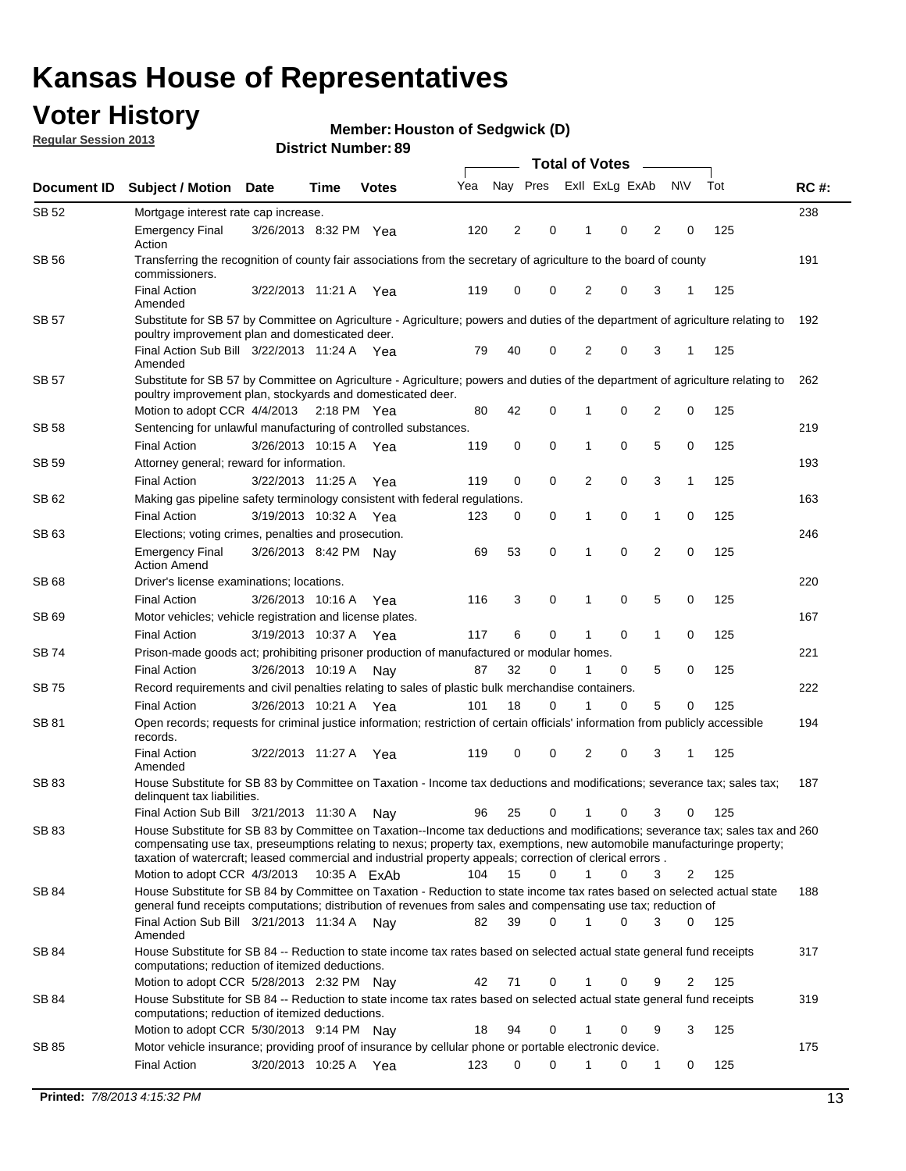## **Voter History**

**Member: Houston of Sedgwick (D)** 

**Regular Session 2013**

|              |                                                                                                                                                                                                                                                                                                                                                                                                         |                       |              |              |     | <b>Total of Votes</b> |             |                |   |                |             |     |             |  |
|--------------|---------------------------------------------------------------------------------------------------------------------------------------------------------------------------------------------------------------------------------------------------------------------------------------------------------------------------------------------------------------------------------------------------------|-----------------------|--------------|--------------|-----|-----------------------|-------------|----------------|---|----------------|-------------|-----|-------------|--|
| Document ID  | <b>Subject / Motion Date</b>                                                                                                                                                                                                                                                                                                                                                                            |                       | Time         | <b>Votes</b> | Yea | Nay Pres              |             | Exll ExLg ExAb |   |                | <b>NV</b>   | Tot | <b>RC#:</b> |  |
| SB 52        | Mortgage interest rate cap increase.                                                                                                                                                                                                                                                                                                                                                                    |                       |              |              |     |                       |             |                |   |                |             |     | 238         |  |
|              | <b>Emergency Final</b><br>Action                                                                                                                                                                                                                                                                                                                                                                        | 3/26/2013 8:32 PM Yea |              |              | 120 | 2                     | 0           |                | 0 | 2              | 0           | 125 |             |  |
| SB 56        | Transferring the recognition of county fair associations from the secretary of agriculture to the board of county<br>commissioners.                                                                                                                                                                                                                                                                     |                       |              |              |     |                       |             |                |   |                |             |     | 191         |  |
|              | <b>Final Action</b><br>Amended                                                                                                                                                                                                                                                                                                                                                                          | 3/22/2013 11:21 A     |              | Yea          | 119 | 0                     | 0           | 2              | 0 | 3              | 1           | 125 |             |  |
| SB 57        | Substitute for SB 57 by Committee on Agriculture - Agriculture; powers and duties of the department of agriculture relating to<br>poultry improvement plan and domesticated deer.                                                                                                                                                                                                                       |                       |              |              |     |                       |             |                |   |                |             |     | 192         |  |
|              | Final Action Sub Bill 3/22/2013 11:24 A Yea<br>Amended                                                                                                                                                                                                                                                                                                                                                  |                       |              |              | 79  | 40                    | 0           | 2              | 0 | 3              | 1           | 125 |             |  |
| SB 57        | Substitute for SB 57 by Committee on Agriculture - Agriculture; powers and duties of the department of agriculture relating to<br>poultry improvement plan, stockyards and domesticated deer.                                                                                                                                                                                                           |                       |              |              |     |                       |             |                |   |                |             |     | 262         |  |
|              | Motion to adopt CCR 4/4/2013 2:18 PM Yea                                                                                                                                                                                                                                                                                                                                                                |                       |              |              | 80  | 42                    | 0           | 1              | 0 | 2              | 0           | 125 |             |  |
| SB 58        | Sentencing for unlawful manufacturing of controlled substances.                                                                                                                                                                                                                                                                                                                                         |                       |              |              |     |                       |             |                |   |                |             |     | 219         |  |
|              | <b>Final Action</b>                                                                                                                                                                                                                                                                                                                                                                                     | 3/26/2013 10:15 A     |              | Yea          | 119 | 0                     | 0           | 1              | 0 | 5              | 0           | 125 |             |  |
| <b>SB 59</b> | Attorney general; reward for information.                                                                                                                                                                                                                                                                                                                                                               |                       |              |              |     |                       |             |                |   |                |             |     | 193         |  |
|              | <b>Final Action</b>                                                                                                                                                                                                                                                                                                                                                                                     | 3/22/2013 11:25 A     |              | Yea          | 119 | 0                     | 0           | 2              | 0 | 3              | 1           | 125 |             |  |
| SB 62        | Making gas pipeline safety terminology consistent with federal regulations.                                                                                                                                                                                                                                                                                                                             |                       |              |              |     |                       |             |                |   |                |             |     | 163         |  |
|              | <b>Final Action</b>                                                                                                                                                                                                                                                                                                                                                                                     | 3/19/2013 10:32 A     |              | Yea          | 123 | 0                     | 0           | 1              | 0 | 1              | 0           | 125 |             |  |
| SB 63        | Elections; voting crimes, penalties and prosecution.                                                                                                                                                                                                                                                                                                                                                    |                       |              |              |     |                       |             |                |   |                |             |     | 246         |  |
|              | <b>Emergency Final</b><br><b>Action Amend</b>                                                                                                                                                                                                                                                                                                                                                           | 3/26/2013 8:42 PM Nay |              |              | 69  | 53                    | $\mathbf 0$ | 1              | 0 | $\overline{2}$ | $\mathbf 0$ | 125 |             |  |
| SB 68        | Driver's license examinations; locations.                                                                                                                                                                                                                                                                                                                                                               |                       |              |              |     |                       |             |                |   |                |             |     | 220         |  |
|              | <b>Final Action</b>                                                                                                                                                                                                                                                                                                                                                                                     | 3/26/2013 10:16 A     |              | Yea          | 116 | 3                     | 0           | 1              | 0 | 5              | 0           | 125 |             |  |
| SB 69        | Motor vehicles; vehicle registration and license plates.                                                                                                                                                                                                                                                                                                                                                |                       |              |              |     |                       |             |                |   |                |             |     | 167         |  |
|              | <b>Final Action</b>                                                                                                                                                                                                                                                                                                                                                                                     | 3/19/2013 10:37 A     |              | Yea          | 117 | 6                     | 0           | 1              | 0 | $\mathbf{1}$   | 0           | 125 |             |  |
| SB 74        | Prison-made goods act; prohibiting prisoner production of manufactured or modular homes.                                                                                                                                                                                                                                                                                                                |                       |              |              |     |                       |             |                |   |                |             |     | 221         |  |
|              | <b>Final Action</b>                                                                                                                                                                                                                                                                                                                                                                                     | 3/26/2013 10:19 A     |              | Nay          | 87  | 32                    | 0           | 1              | 0 | 5              | 0           | 125 |             |  |
| SB 75        | Record requirements and civil penalties relating to sales of plastic bulk merchandise containers.                                                                                                                                                                                                                                                                                                       |                       |              |              |     | 18                    | 0           | 1              | 0 | 5              | 0           | 125 | 222         |  |
|              | <b>Final Action</b>                                                                                                                                                                                                                                                                                                                                                                                     | 3/26/2013 10:21 A     |              | Yea          | 101 |                       |             |                |   |                |             |     | 194         |  |
| SB 81        | Open records; requests for criminal justice information; restriction of certain officials' information from publicly accessible<br>records.<br><b>Final Action</b>                                                                                                                                                                                                                                      | 3/22/2013 11:27 A     |              | Yea          | 119 | 0                     | 0           | 2              | 0 | 3              |             | 125 |             |  |
|              | Amended                                                                                                                                                                                                                                                                                                                                                                                                 |                       |              |              |     |                       |             |                |   |                |             |     |             |  |
| <b>SB 83</b> | House Substitute for SB 83 by Committee on Taxation - Income tax deductions and modifications; severance tax; sales tax;<br>delinquent tax liabilities.                                                                                                                                                                                                                                                 |                       |              |              |     |                       |             |                |   |                |             |     | 187         |  |
|              | Final Action Sub Bill 3/21/2013 11:30 A                                                                                                                                                                                                                                                                                                                                                                 |                       |              | Nav          | 96  | 25                    | 0           | 1              | 0 | 3              | 0           | 125 |             |  |
| SB 83        | House Substitute for SB 83 by Committee on Taxation--Income tax deductions and modifications; severance tax; sales tax and 260<br>compensating use tax, preseumptions relating to nexus; property tax, exemptions, new automobile manufacturinge property;<br>taxation of watercraft; leased commercial and industrial property appeals; correction of clerical errors.<br>Motion to adopt CCR 4/3/2013 |                       | 10:35 A ExAb |              | 104 | 15                    | 0           | $\mathbf{1}$   | 0 | 3              | 2           | 125 |             |  |
| SB 84        | House Substitute for SB 84 by Committee on Taxation - Reduction to state income tax rates based on selected actual state                                                                                                                                                                                                                                                                                |                       |              |              |     |                       |             |                |   |                |             |     | 188         |  |
|              | general fund receipts computations; distribution of revenues from sales and compensating use tax; reduction of<br>Final Action Sub Bill 3/21/2013 11:34 A Nay                                                                                                                                                                                                                                           |                       |              |              | 82  | 39                    | $\Omega$    |                | 0 | 3              | $\Omega$    | 125 |             |  |
|              | Amended                                                                                                                                                                                                                                                                                                                                                                                                 |                       |              |              |     |                       |             |                |   |                |             |     |             |  |
| SB 84        | House Substitute for SB 84 -- Reduction to state income tax rates based on selected actual state general fund receipts<br>computations; reduction of itemized deductions.                                                                                                                                                                                                                               |                       |              |              |     |                       |             |                |   |                |             |     | 317         |  |
|              | Motion to adopt CCR 5/28/2013 2:32 PM Nav                                                                                                                                                                                                                                                                                                                                                               |                       |              |              | 42  | 71                    | 0           |                | 0 | 9              | 2           | 125 |             |  |
| SB 84        | House Substitute for SB 84 -- Reduction to state income tax rates based on selected actual state general fund receipts<br>computations; reduction of itemized deductions.                                                                                                                                                                                                                               |                       |              |              |     |                       |             |                |   |                | 3           |     | 319         |  |
|              | Motion to adopt CCR 5/30/2013 9:14 PM Nay                                                                                                                                                                                                                                                                                                                                                               |                       |              |              | 18  | 94                    | 0           |                | 0 | 9              |             | 125 |             |  |
| SB 85        | Motor vehicle insurance; providing proof of insurance by cellular phone or portable electronic device.                                                                                                                                                                                                                                                                                                  |                       |              |              |     | 0                     | $\Omega$    |                | 0 |                | 0           | 125 | 175         |  |
|              | <b>Final Action</b>                                                                                                                                                                                                                                                                                                                                                                                     | 3/20/2013 10:25 A Yea |              |              | 123 |                       |             |                |   | 1              |             |     |             |  |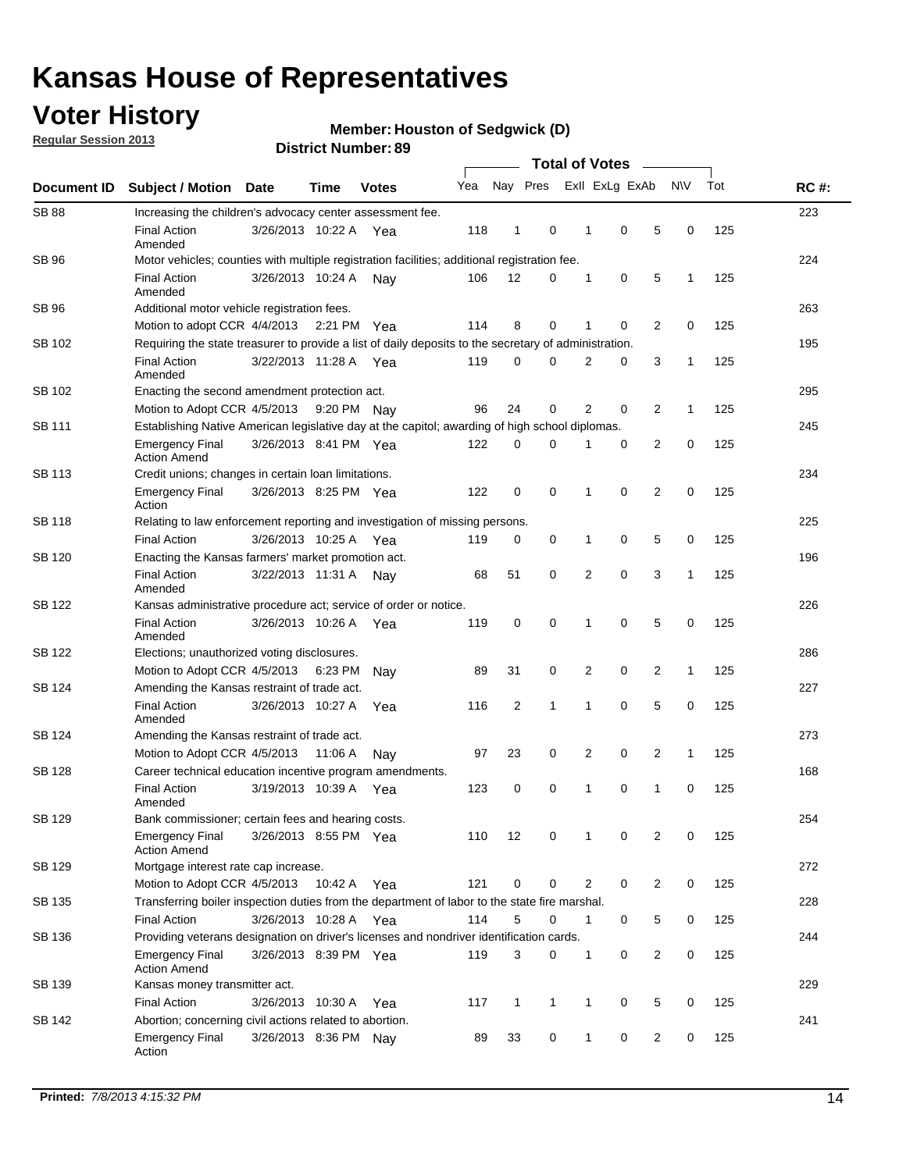## **Voter History**

**Regular Session 2013**

#### **Member: Houston of Sedgwick (D)**

|                    |                                                                                                       | ט וסמווענו ואווו <b>טפו.</b> |             |              | <b>Total of Votes</b> |                |              |  |                |                |                |              |     |             |
|--------------------|-------------------------------------------------------------------------------------------------------|------------------------------|-------------|--------------|-----------------------|----------------|--------------|--|----------------|----------------|----------------|--------------|-----|-------------|
| <b>Document ID</b> | <b>Subject / Motion</b>                                                                               | <b>Date</b>                  | <b>Time</b> | <b>Votes</b> | Yea                   |                | Nay Pres     |  |                | Exll ExLg ExAb |                | <b>NV</b>    | Tot | <b>RC#:</b> |
| <b>SB 88</b>       | Increasing the children's advocacy center assessment fee.                                             |                              |             |              |                       |                |              |  |                |                |                |              |     | 223         |
|                    | <b>Final Action</b><br>Amended                                                                        | 3/26/2013 10:22 A            |             | Yea          | 118                   | $\mathbf{1}$   | 0            |  | $\mathbf 1$    | 0              | 5              | 0            | 125 |             |
| SB 96              | Motor vehicles; counties with multiple registration facilities; additional registration fee.          |                              |             |              |                       |                |              |  |                |                |                |              |     | 224         |
|                    | <b>Final Action</b><br>Amended                                                                        | 3/26/2013 10:24 A            |             | Nav          | 106                   | 12             | 0            |  | 1              | 0              | 5              | 1            | 125 |             |
| SB 96              | Additional motor vehicle registration fees.                                                           |                              |             |              |                       |                |              |  |                |                |                |              |     | 263         |
|                    | Motion to adopt CCR 4/4/2013 2:21 PM Yea                                                              |                              |             |              | 114                   | 8              | $\mathbf 0$  |  | 1              | 0              | 2              | $\mathbf 0$  | 125 |             |
| SB 102             | Requiring the state treasurer to provide a list of daily deposits to the secretary of administration. |                              |             |              |                       |                |              |  |                |                |                |              |     | 195         |
|                    | <b>Final Action</b><br>Amended                                                                        | 3/22/2013 11:28 A            |             | Yea          | 119                   | 0              | 0            |  | 2              | 0              | 3              | 1            | 125 |             |
| SB 102             | Enacting the second amendment protection act.                                                         |                              |             |              |                       |                |              |  |                |                |                |              |     | 295         |
|                    | Motion to Adopt CCR 4/5/2013                                                                          |                              | 9:20 PM Nay |              | 96                    | 24             | 0            |  | $\overline{2}$ | 0              | $\overline{2}$ | $\mathbf{1}$ | 125 |             |
| SB 111             | Establishing Native American legislative day at the capitol; awarding of high school diplomas.        |                              |             |              |                       |                |              |  |                |                |                |              |     | 245         |
|                    | <b>Emergency Final</b><br><b>Action Amend</b>                                                         | 3/26/2013 8:41 PM Yea        |             |              | 122                   | 0              | $\Omega$     |  |                | 0              | $\overline{2}$ | 0            | 125 |             |
| SB 113             | Credit unions; changes in certain loan limitations.                                                   |                              |             |              |                       |                |              |  |                |                |                |              |     | 234         |
|                    | <b>Emergency Final</b><br>Action                                                                      | 3/26/2013 8:25 PM Yea        |             |              | 122                   | $\mathbf 0$    | 0            |  | 1              | $\mathbf 0$    | $\overline{2}$ | $\mathbf 0$  | 125 |             |
| <b>SB 118</b>      | Relating to law enforcement reporting and investigation of missing persons.                           |                              |             |              |                       |                |              |  |                |                |                |              |     | 225         |
|                    | <b>Final Action</b>                                                                                   | 3/26/2013 10:25 A            |             | Yea          | 119                   | 0              | 0            |  | 1              | 0              | 5              | 0            | 125 |             |
| SB 120             | Enacting the Kansas farmers' market promotion act.                                                    |                              |             |              |                       |                |              |  |                |                |                |              |     | 196         |
|                    | <b>Final Action</b><br>Amended                                                                        | 3/22/2013 11:31 A            |             | Nav          | 68                    | 51             | 0            |  | 2              | $\mathbf 0$    | 3              | 1            | 125 |             |
| SB 122             | Kansas administrative procedure act; service of order or notice.                                      |                              |             |              |                       |                |              |  |                |                |                |              |     | 226         |
|                    | <b>Final Action</b><br>Amended                                                                        | 3/26/2013 10:26 A            |             | Yea          | 119                   | 0              | 0            |  | 1              | $\mathbf 0$    | 5              | 0            | 125 |             |
| SB 122             | Elections; unauthorized voting disclosures.                                                           |                              |             |              |                       |                |              |  |                |                |                |              |     | 286         |
|                    | Motion to Adopt CCR 4/5/2013                                                                          |                              | 6:23 PM     | Nay          | 89                    | 31             | 0            |  | 2              | 0              | $\overline{2}$ | 1            | 125 |             |
| SB 124             | Amending the Kansas restraint of trade act.                                                           |                              |             |              |                       |                |              |  |                |                |                |              |     | 227         |
|                    | <b>Final Action</b><br>Amended                                                                        | 3/26/2013 10:27 A            |             | Yea          | 116                   | $\overline{2}$ | 1            |  | 1              | $\mathbf 0$    | 5              | $\mathbf 0$  | 125 |             |
| SB 124             | Amending the Kansas restraint of trade act.                                                           |                              |             |              |                       |                |              |  |                |                |                |              |     | 273         |
|                    | Motion to Adopt CCR 4/5/2013                                                                          |                              | 11:06 A     | Nav          | 97                    | 23             | 0            |  | 2              | $\mathbf 0$    | $\overline{2}$ | 1            | 125 |             |
| SB 128             | Career technical education incentive program amendments.                                              |                              |             |              |                       |                |              |  |                |                |                |              |     | 168         |
|                    | <b>Final Action</b><br>Amended                                                                        | 3/19/2013 10:39 A            |             | Yea          | 123                   | 0              | $\mathbf 0$  |  | 1              | $\mathbf 0$    | 1              | $\mathbf 0$  | 125 |             |
| SB 129             | Bank commissioner; certain fees and hearing costs.                                                    |                              |             |              |                       |                |              |  |                |                |                |              |     | 254         |
|                    | Emergency Final<br><b>Action Amend</b>                                                                | 3/26/2013 8:55 PM Yea        |             |              | 110                   | 12             | 0            |  | $\mathbf{1}$   | 0              | 2              | 0            | 125 |             |
| SB 129             | Mortgage interest rate cap increase.                                                                  |                              |             |              |                       |                |              |  |                |                |                |              |     | 272         |
|                    | Motion to Adopt CCR 4/5/2013                                                                          |                              | 10:42 A Yea |              | 121                   | $\mathbf 0$    | 0            |  | $\overline{2}$ | 0              | 2              | 0            | 125 |             |
| SB 135             | Transferring boiler inspection duties from the department of labor to the state fire marshal.         |                              |             |              |                       |                |              |  |                |                |                |              |     | 228         |
|                    | <b>Final Action</b>                                                                                   | 3/26/2013 10:28 A Yea        |             |              | 114                   | 5              | 0            |  | $\mathbf{1}$   | 0              | 5              | 0            | 125 |             |
| SB 136             | Providing veterans designation on driver's licenses and nondriver identification cards.               |                              |             |              |                       |                |              |  |                |                |                |              |     | 244         |
|                    | <b>Emergency Final</b><br><b>Action Amend</b>                                                         | 3/26/2013 8:39 PM Yea        |             |              | 119                   | 3              | 0            |  | 1              | 0              | 2              | 0            | 125 |             |
| SB 139             | Kansas money transmitter act.                                                                         |                              |             |              |                       |                |              |  |                |                |                |              |     | 229         |
|                    | <b>Final Action</b>                                                                                   | 3/26/2013 10:30 A Yea        |             |              | 117                   | $\mathbf{1}$   | $\mathbf{1}$ |  | $\mathbf{1}$   | 0              | 5              | 0            | 125 |             |
| SB 142             | Abortion; concerning civil actions related to abortion.                                               |                              |             |              |                       |                |              |  |                |                |                |              |     | 241         |
|                    | <b>Emergency Final</b><br>Action                                                                      | 3/26/2013 8:36 PM Nay        |             |              | 89                    | 33             | 0            |  | $\mathbf{1}$   | 0              | 2              | 0            | 125 |             |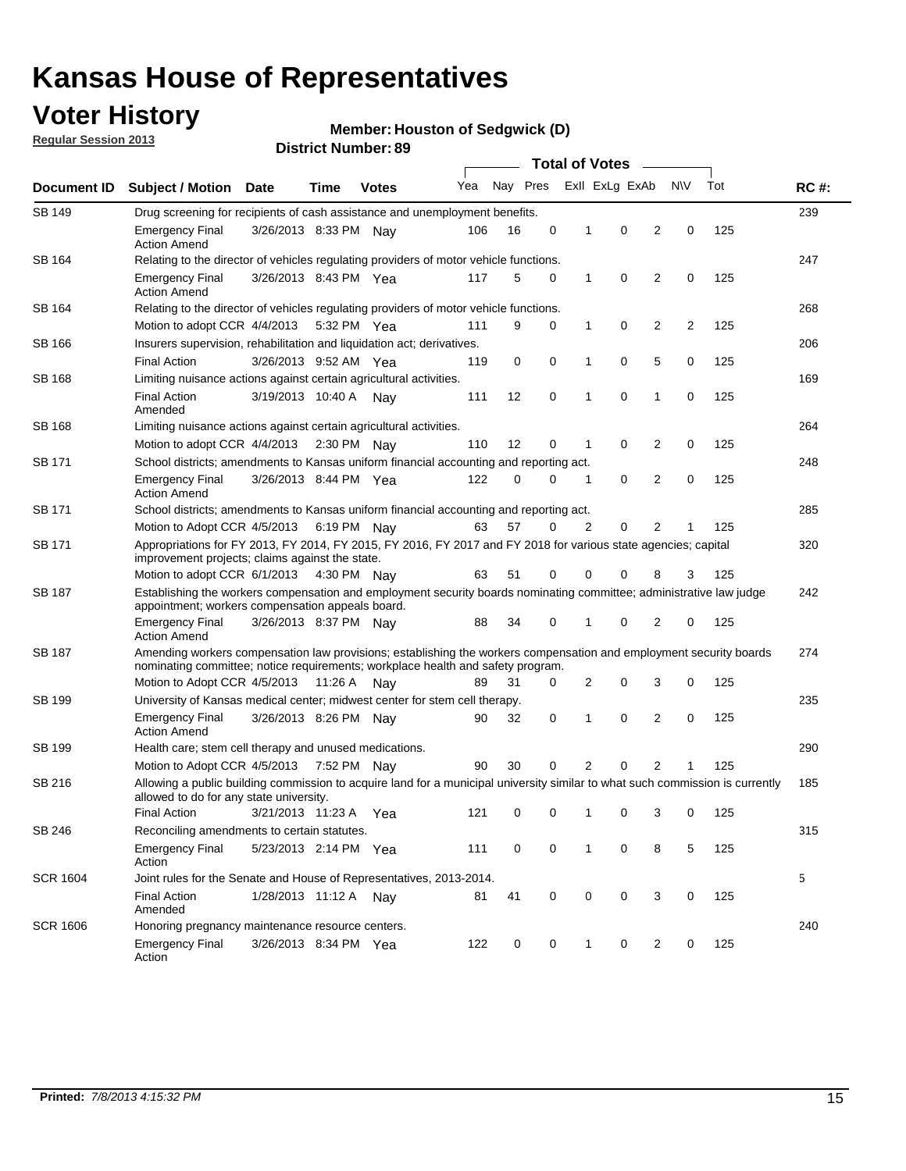## **Voter History**

**Member: Houston of Sedgwick (D)** 

**Regular Session 2013**

|                 |                                                                                                                                                                                                       |                                                                                                                                                                         |             |              |     | <b>Total of Votes</b><br>$\sim$ |             |   |                |                |                |     |             |
|-----------------|-------------------------------------------------------------------------------------------------------------------------------------------------------------------------------------------------------|-------------------------------------------------------------------------------------------------------------------------------------------------------------------------|-------------|--------------|-----|---------------------------------|-------------|---|----------------|----------------|----------------|-----|-------------|
| Document ID     | <b>Subject / Motion</b>                                                                                                                                                                               | Date                                                                                                                                                                    | Time        | <b>Votes</b> | Yea | Nay Pres                        |             |   | Exll ExLg ExAb |                | <b>NV</b>      | Tot | <b>RC#:</b> |
| <b>SB 149</b>   | 239<br>Drug screening for recipients of cash assistance and unemployment benefits.                                                                                                                    |                                                                                                                                                                         |             |              |     |                                 |             |   |                |                |                |     |             |
|                 | <b>Emergency Final</b><br><b>Action Amend</b>                                                                                                                                                         | 3/26/2013 8:33 PM Nav                                                                                                                                                   |             |              | 106 | 16                              | 0           | 1 | 0              | 2              | 0              | 125 |             |
| SB 164          | Relating to the director of vehicles regulating providers of motor vehicle functions.                                                                                                                 |                                                                                                                                                                         |             |              |     |                                 |             |   |                |                |                |     | 247         |
|                 | <b>Emergency Final</b><br><b>Action Amend</b>                                                                                                                                                         | 3/26/2013 8:43 PM Yea                                                                                                                                                   |             |              | 117 | 5                               | 0           | 1 | 0              | 2              | 0              | 125 |             |
| SB 164          | Relating to the director of vehicles regulating providers of motor vehicle functions.                                                                                                                 |                                                                                                                                                                         |             |              |     |                                 |             |   |                |                |                |     | 268         |
|                 | Motion to adopt CCR 4/4/2013 5:32 PM Yea                                                                                                                                                              |                                                                                                                                                                         |             |              | 111 | 9                               | 0           | 1 | 0              | $\overline{2}$ | $\overline{2}$ | 125 |             |
| SB 166          | Insurers supervision, rehabilitation and liquidation act; derivatives.                                                                                                                                |                                                                                                                                                                         |             |              |     |                                 |             |   |                |                |                |     | 206         |
|                 | <b>Final Action</b>                                                                                                                                                                                   | 3/26/2013 9:52 AM Yea                                                                                                                                                   |             |              | 119 | 0                               | $\mathbf 0$ | 1 | 0              | 5              | 0              | 125 |             |
| SB 168          | Limiting nuisance actions against certain agricultural activities.                                                                                                                                    |                                                                                                                                                                         |             |              |     |                                 |             |   |                |                |                |     | 169         |
|                 | Final Action<br>Amended                                                                                                                                                                               | 3/19/2013 10:40 A Nay                                                                                                                                                   |             |              | 111 | 12                              | $\mathbf 0$ | 1 | 0              | 1              | 0              | 125 |             |
| SB 168          | Limiting nuisance actions against certain agricultural activities.                                                                                                                                    |                                                                                                                                                                         |             |              |     |                                 |             |   |                |                |                |     | 264         |
|                 | Motion to adopt CCR 4/4/2013                                                                                                                                                                          |                                                                                                                                                                         |             | 2:30 PM Nay  | 110 | 12                              | 0           | 1 | 0              | 2              | 0              | 125 |             |
| SB 171          | School districts; amendments to Kansas uniform financial accounting and reporting act.                                                                                                                |                                                                                                                                                                         |             |              |     |                                 |             |   |                |                |                |     | 248         |
|                 | <b>Emergency Final</b><br><b>Action Amend</b>                                                                                                                                                         | 3/26/2013 8:44 PM Yea                                                                                                                                                   |             |              | 122 | 0                               | 0           | 1 | 0              | $\overline{2}$ | 0              | 125 |             |
| SB 171          | School districts; amendments to Kansas uniform financial accounting and reporting act.                                                                                                                |                                                                                                                                                                         |             |              |     |                                 |             |   |                |                |                |     | 285         |
|                 | Motion to Adopt CCR 4/5/2013 6:19 PM Nav                                                                                                                                                              |                                                                                                                                                                         |             |              | 63  | 57                              | 0           | 2 | 0              | $\overline{2}$ | 1              | 125 |             |
| SB 171          | Appropriations for FY 2013, FY 2014, FY 2015, FY 2016, FY 2017 and FY 2018 for various state agencies; capital<br>improvement projects; claims against the state.                                     |                                                                                                                                                                         |             |              |     |                                 |             |   |                |                |                |     | 320         |
|                 | Motion to adopt CCR 6/1/2013 4:30 PM Nay                                                                                                                                                              |                                                                                                                                                                         |             |              | 63  | 51                              | 0           | 0 | 0              | 8              | 3              | 125 |             |
| SB 187          |                                                                                                                                                                                                       | Establishing the workers compensation and employment security boards nominating committee; administrative law judge<br>appointment; workers compensation appeals board. |             |              |     |                                 |             |   |                |                |                |     |             |
|                 | <b>Emergency Final</b><br><b>Action Amend</b>                                                                                                                                                         | 3/26/2013 8:37 PM Nav                                                                                                                                                   |             |              | 88  | 34                              | 0           | 1 | 0              | 2              | 0              | 125 |             |
| SB 187          | Amending workers compensation law provisions; establishing the workers compensation and employment security boards<br>nominating committee; notice requirements; workplace health and safety program. |                                                                                                                                                                         |             |              |     |                                 |             |   |                |                |                |     | 274         |
|                 | Motion to Adopt CCR 4/5/2013 11:26 A Nav                                                                                                                                                              |                                                                                                                                                                         |             |              | 89  | 31                              | 0           | 2 | 0              | 3              | 0              | 125 |             |
| SB 199          | University of Kansas medical center; midwest center for stem cell therapy.                                                                                                                            |                                                                                                                                                                         |             |              |     |                                 |             |   |                |                |                |     | 235         |
|                 | Emergency Final<br><b>Action Amend</b>                                                                                                                                                                | 3/26/2013 8:26 PM Nav                                                                                                                                                   |             |              | 90  | 32                              | 0           | 1 | 0              | $\overline{2}$ | 0              | 125 |             |
| SB 199          | Health care; stem cell therapy and unused medications.                                                                                                                                                |                                                                                                                                                                         |             |              |     |                                 |             |   |                |                |                |     | 290         |
|                 | Motion to Adopt CCR 4/5/2013                                                                                                                                                                          |                                                                                                                                                                         | 7:52 PM Nay |              | 90  | 30                              | 0           | 2 | 0              | $\overline{2}$ | 1              | 125 |             |
| SB 216          | Allowing a public building commission to acquire land for a municipal university similar to what such commission is currently<br>allowed to do for any state university.                              |                                                                                                                                                                         |             |              |     |                                 |             |   |                |                |                |     | 185         |
|                 | <b>Final Action</b>                                                                                                                                                                                   | 3/21/2013 11:23 A                                                                                                                                                       |             | Yea          | 121 | 0                               | 0           | 1 | 0              | 3              | 0              | 125 |             |
| SB 246          | Reconciling amendments to certain statutes.                                                                                                                                                           |                                                                                                                                                                         |             |              |     |                                 |             |   |                |                |                |     | 315         |
|                 | <b>Emergency Final</b><br>Action                                                                                                                                                                      | 5/23/2013 2:14 PM Yea                                                                                                                                                   |             |              | 111 | 0                               | 0           | 1 | 0              | 8              | 5              | 125 |             |
| <b>SCR 1604</b> | Joint rules for the Senate and House of Representatives, 2013-2014.                                                                                                                                   |                                                                                                                                                                         |             |              |     |                                 |             |   |                |                |                |     | 5           |
|                 | <b>Final Action</b><br>Amended                                                                                                                                                                        | 1/28/2013 11:12 A                                                                                                                                                       |             | Nay          | 81  | 41                              | 0           | 0 | 0              | 3              | 0              | 125 |             |
| <b>SCR 1606</b> | Honoring pregnancy maintenance resource centers.                                                                                                                                                      |                                                                                                                                                                         |             |              |     |                                 |             |   |                |                |                |     | 240         |
|                 | <b>Emergency Final</b><br>Action                                                                                                                                                                      | 3/26/2013 8:34 PM Yea                                                                                                                                                   |             |              | 122 | 0                               | 0           | 1 | 0              | 2              | 0              | 125 |             |